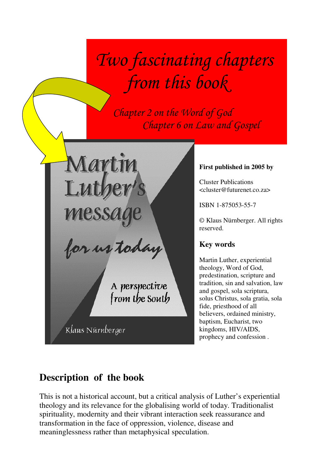# Two fascinating chapters from this book

 Chapter 2 on the Word of God Chapter 6 on Law and Gospel

Martin Lut

for us today

A perspective<br>from the South

Klaus Nürnberger

# **First published in 2005 by**

Cluster Publications <cluster@futurenet.co.za>

ISBN 1-875053-55-7

© Klaus Nürnberger. All rights reserved.

# **Key words**

Martin Luther, experiential theology, Word of God, predestination, scripture and tradition, sin and salvation, law and gospel, sola scriptura, solus Christus, sola gratia, sola fide, priesthood of all believers, ordained ministry, baptism, Eucharist, two kingdoms, HIV/AIDS, prophecy and confession .

# **Description of the book**

This is not a historical account, but a critical analysis of Luther's experiential theology and its relevance for the globalising world of today. Traditionalist spirituality, modernity and their vibrant interaction seek reassurance and transformation in the face of oppression, violence, disease and meaninglessness rather than metaphysical speculation.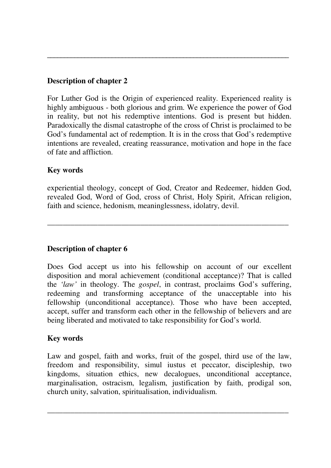# **Description of chapter 2**

For Luther God is the Origin of experienced reality. Experienced reality is highly ambiguous - both glorious and grim. We experience the power of God in reality, but not his redemptive intentions. God is present but hidden. Paradoxically the dismal catastrophe of the cross of Christ is proclaimed to be God's fundamental act of redemption. It is in the cross that God's redemptive intentions are revealed, creating reassurance, motivation and hope in the face of fate and affliction.

**\_\_\_\_\_\_\_\_\_\_\_\_\_\_\_\_\_\_\_\_\_\_\_\_\_\_\_\_\_\_\_\_\_\_\_\_\_\_\_\_\_\_\_\_\_\_\_\_\_\_\_\_\_\_\_\_\_\_\_\_\_\_\_\_\_\_\_\_\_\_\_** 

# **Key words**

experiential theology, concept of God, Creator and Redeemer, hidden God, revealed God, Word of God, cross of Christ, Holy Spirit, African religion, faith and science, hedonism, meaninglessness, idolatry, devil.

\_\_\_\_\_\_\_\_\_\_\_\_\_\_\_\_\_\_\_\_\_\_\_\_\_\_\_\_\_\_\_\_\_\_\_\_\_\_\_\_\_\_\_\_\_\_\_\_\_\_\_\_\_\_\_\_\_\_\_\_\_\_

# **Description of chapter 6**

Does God accept us into his fellowship on account of our excellent disposition and moral achievement (conditional acceptance)? That is called the *'law'* in theology. The *gospel*, in contrast, proclaims God's suffering, redeeming and transforming acceptance of the unacceptable into his fellowship (unconditional acceptance). Those who have been accepted, accept, suffer and transform each other in the fellowship of believers and are being liberated and motivated to take responsibility for God's world.

# **Key words**

Law and gospel, faith and works, fruit of the gospel, third use of the law, freedom and responsibility, simul iustus et peccator, discipleship, two kingdoms, situation ethics, new decalogues, unconditional acceptance, marginalisation, ostracism, legalism, justification by faith, prodigal son, church unity, salvation, spiritualisation, individualism.

\_\_\_\_\_\_\_\_\_\_\_\_\_\_\_\_\_\_\_\_\_\_\_\_\_\_\_\_\_\_\_\_\_\_\_\_\_\_\_\_\_\_\_\_\_\_\_\_\_\_\_\_\_\_\_\_\_\_\_\_\_\_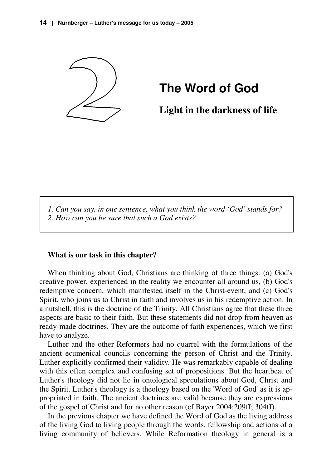

# **The Word of God**

**Light in the darkness of life**

*1. Can you say, in one sentence, what you think the word 'God' stands for? 2. How can you be sure that such a God exists?* 

#### **What is our task in this chapter?**

When thinking about God, Christians are thinking of three things: (a) God's creative power, experienced in the reality we encounter all around us, (b) God's redemptive concern, which manifested itself in the Christ-event, and (c) God's Spirit, who joins us to Christ in faith and involves us in his redemptive action. In a nutshell, this is the doctrine of the Trinity. All Christians agree that these three aspects are basic to their faith. But these statements did not drop from heaven as ready-made doctrines. They are the outcome of faith experiences, which we first have to analyze.

Luther and the other Reformers had no quarrel with the formulations of the ancient ecumenical councils concerning the person of Christ and the Trinity. Luther explicitly confirmed their validity. He was remarkably capable of dealing with this often complex and confusing set of propositions. But the heartbeat of Luther's theology did not lie in ontological speculations about God, Christ and the Spirit. Luther's theology is a theology based on the 'Word of God' as it is appropriated in faith. The ancient doctrines are valid because they are expressions of the gospel of Christ and for no other reason (cf Bayer 2004:209ff; 304ff).

In the previous chapter we have defined the Word of God as the living address of the living God to living people through the words, fellowship and actions of a living community of believers. While Reformation theology in general is a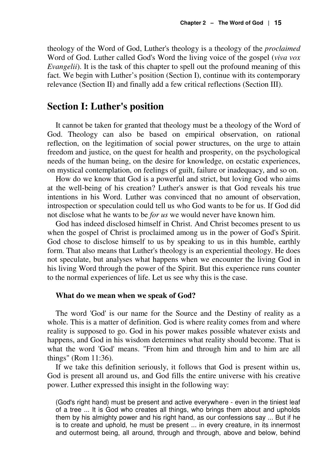theology of the Word of God, Luther's theology is a theology of the *proclaimed*  Word of God. Luther called God's Word the living voice of the gospel (*viva vox Evangelii*). It is the task of this chapter to spell out the profound meaning of this fact. We begin with Luther's position (Section I), continue with its contemporary relevance (Section II) and finally add a few critical reflections (Section III).

# **Section I: Luther's position**

It cannot be taken for granted that theology must be a theology of the Word of God. Theology can also be based on empirical observation, on rational reflection, on the legitimation of social power structures, on the urge to attain freedom and justice, on the quest for health and prosperity, on the psychological needs of the human being, on the desire for knowledge, on ecstatic experiences, on mystical contemplation, on feelings of guilt, failure or inadequacy, and so on.

How do we know that God is a powerful and strict, but loving God who aims at the well-being of his creation? Luther's answer is that God reveals his true intentions in his Word. Luther was convinced that no amount of observation, introspection or speculation could tell us who God wants to be for us. If God did not disclose what he wants to be *for us* we would never have known him.

God has indeed disclosed himself in Christ. And Christ becomes present to us when the gospel of Christ is proclaimed among us in the power of God's Spirit. God chose to disclose himself to us by speaking to us in this humble, earthly form. That also means that Luther's theology is an experiential theology. He does not speculate, but analyses what happens when we encounter the living God in his living Word through the power of the Spirit. But this experience runs counter to the normal experiences of life. Let us see why this is the case.

#### **What do we mean when we speak of God?**

The word 'God' is our name for the Source and the Destiny of reality as a whole. This is a matter of definition. God is where reality comes from and where reality is supposed to go. God in his power makes possible whatever exists and happens, and God in his wisdom determines what reality should become. That is what the word 'God' means. "From him and through him and to him are all things" (Rom 11:36).

If we take this definition seriously, it follows that God is present within us, God is present all around us, and God fills the entire universe with his creative power. Luther expressed this insight in the following way:

(God's right hand) must be present and active everywhere - even in the tiniest leaf of a tree ... It is God who creates all things, who brings them about and upholds them by his almighty power and his right hand, as our confessions say ... But if he is to create and uphold, he must be present ... in every creature, in its innermost and outermost being, all around, through and through, above and below, behind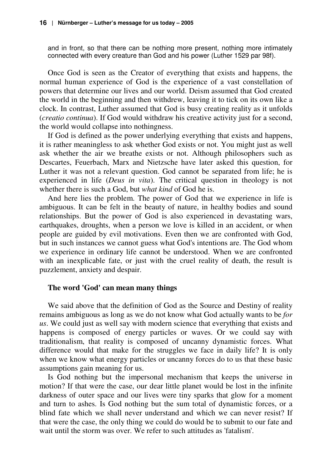and in front, so that there can be nothing more present, nothing more intimately connected with every creature than God and his power (Luther 1529 par 98f).

Once God is seen as the Creator of everything that exists and happens, the normal human experience of God is the experience of a vast constellation of powers that determine our lives and our world. Deism assumed that God created the world in the beginning and then withdrew, leaving it to tick on its own like a clock. In contrast, Luther assumed that God is busy creating reality as it unfolds (*creatio continua*). If God would withdraw his creative activity just for a second, the world would collapse into nothingness.

If God is defined as the power underlying everything that exists and happens, it is rather meaningless to ask whether God exists or not. You might just as well ask whether the air we breathe exists or not. Although philosophers such as Descartes, Feuerbach, Marx and Nietzsche have later asked this question, for Luther it was not a relevant question. God cannot be separated from life; he is experienced in life (*Deus in vita*). The critical question in theology is not whether there is such a God, but *what kind* of God he is.

And here lies the problem. The power of God that we experience in life is ambiguous. It can be felt in the beauty of nature, in healthy bodies and sound relationships. But the power of God is also experienced in devastating wars, earthquakes, droughts, when a person we love is killed in an accident, or when people are guided by evil motivations. Even then we are confronted with God, but in such instances we cannot guess what God's intentions are. The God whom we experience in ordinary life cannot be understood. When we are confronted with an inexplicable fate, or just with the cruel reality of death, the result is puzzlement, anxiety and despair.

#### **The word 'God' can mean many things**

We said above that the definition of God as the Source and Destiny of reality remains ambiguous as long as we do not know what God actually wants to be *for us*. We could just as well say with modern science that everything that exists and happens is composed of energy particles or waves. Or we could say with traditionalism, that reality is composed of uncanny dynamistic forces. What difference would that make for the struggles we face in daily life? It is only when we know what energy particles or uncanny forces do to us that these basic assumptions gain meaning for us.

Is God nothing but the impersonal mechanism that keeps the universe in motion? If that were the case, our dear little planet would be lost in the infinite darkness of outer space and our lives were tiny sparks that glow for a moment and turn to ashes. Is God nothing but the sum total of dynamistic forces, or a blind fate which we shall never understand and which we can never resist? If that were the case, the only thing we could do would be to submit to our fate and wait until the storm was over. We refer to such attitudes as 'fatalism'.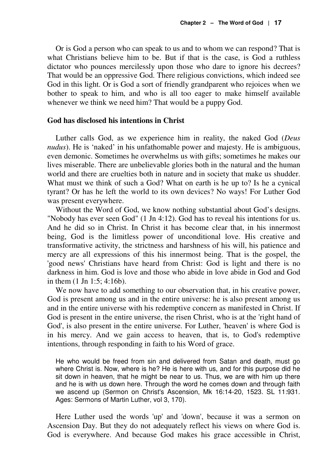Or is God a person who can speak to us and to whom we can respond? That is what Christians believe him to be. But if that is the case, is God a ruthless dictator who pounces mercilessly upon those who dare to ignore his decrees? That would be an oppressive God. There religious convictions, which indeed see God in this light. Or is God a sort of friendly grandparent who rejoices when we bother to speak to him, and who is all too eager to make himself available whenever we think we need him? That would be a puppy God.

#### **God has disclosed his intentions in Christ**

Luther calls God, as we experience him in reality, the naked God (*Deus nudus*). He is 'naked' in his unfathomable power and majesty. He is ambiguous, even demonic. Sometimes he overwhelms us with gifts; sometimes he makes our lives miserable. There are unbelievable glories both in the natural and the human world and there are cruelties both in nature and in society that make us shudder. What must we think of such a God? What on earth is he up to? Is he a cynical tyrant? Or has he left the world to its own devices? No ways! For Luther God was present everywhere.

Without the Word of God, we know nothing substantial about God's designs. "Nobody has ever seen God" (1 Jn 4:12). God has to reveal his intentions for us. And he did so in Christ. In Christ it has become clear that, in his innermost being, God is the limitless power of unconditional love. His creative and transformative activity, the strictness and harshness of his will, his patience and mercy are all expressions of this his innermost being. That is the gospel, the 'good news' Christians have heard from Christ: God is light and there is no darkness in him. God is love and those who abide in love abide in God and God in them (1 Jn 1:5; 4:16b).

We now have to add something to our observation that, in his creative power, God is present among us and in the entire universe: he is also present among us and in the entire universe with his redemptive concern as manifested in Christ. If God is present in the entire universe, the risen Christ, who is at the 'right hand of God', is also present in the entire universe. For Luther, 'heaven' is where God is in his mercy. And we gain access to heaven, that is, to God's redemptive intentions, through responding in faith to his Word of grace.

He who would be freed from sin and delivered from Satan and death, must go where Christ is. Now, where is he? He is here with us, and for this purpose did he sit down in heaven, that he might be near to us. Thus, we are with him up there and he is with us down here. Through the word he comes down and through faith we ascend up (Sermon on Christ's Ascension, Mk 16:14-20, 1523. SL 11:931. Ages: Sermons of Martin Luther, vol 3, 170).

Here Luther used the words 'up' and 'down', because it was a sermon on Ascension Day. But they do not adequately reflect his views on where God is. God is everywhere. And because God makes his grace accessible in Christ,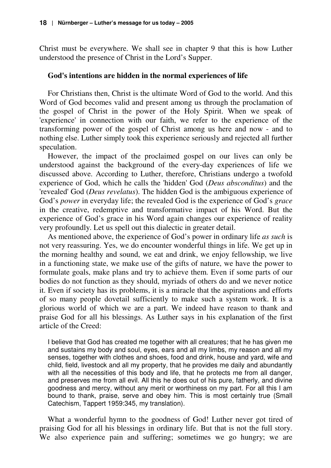Christ must be everywhere. We shall see in chapter 9 that this is how Luther understood the presence of Christ in the Lord's Supper.

#### **God's intentions are hidden in the normal experiences of life**

For Christians then, Christ is the ultimate Word of God to the world. And this Word of God becomes valid and present among us through the proclamation of the gospel of Christ in the power of the Holy Spirit. When we speak of 'experience' in connection with our faith, we refer to the experience of the transforming power of the gospel of Christ among us here and now - and to nothing else. Luther simply took this experience seriously and rejected all further speculation.

However, the impact of the proclaimed gospel on our lives can only be understood against the background of the every-day experiences of life we discussed above. According to Luther, therefore, Christians undergo a twofold experience of God, which he calls the 'hidden' God (*Deus absconditus*) and the 'revealed' God (*Deus revelatus*). The hidden God is the ambiguous experience of God's *power* in everyday life; the revealed God is the experience of God's *grace* in the creative, redemptive and transformative impact of his Word. But the experience of God's grace in his Word again changes our experience of reality very profoundly. Let us spell out this dialectic in greater detail.

As mentioned above, the experience of God's power in ordinary life *as such* is not very reassuring. Yes, we do encounter wonderful things in life. We get up in the morning healthy and sound, we eat and drink, we enjoy fellowship, we live in a functioning state, we make use of the gifts of nature, we have the power to formulate goals, make plans and try to achieve them. Even if some parts of our bodies do not function as they should, myriads of others do and we never notice it. Even if society has its problems, it is a miracle that the aspirations and efforts of so many people dovetail sufficiently to make such a system work. It is a glorious world of which we are a part. We indeed have reason to thank and praise God for all his blessings. As Luther says in his explanation of the first article of the Creed:

I believe that God has created me together with all creatures; that he has given me and sustains my body and soul, eyes, ears and all my limbs, my reason and all my senses, together with clothes and shoes, food and drink, house and yard, wife and child, field, livestock and all my property, that he provides me daily and abundantly with all the necessities of this body and life, that he protects me from all danger, and preserves me from all evil. All this he does out of his pure, fatherly, and divine goodness and mercy, without any merit or worthiness on my part. For all this I am bound to thank, praise, serve and obey him. This is most certainly true (Small Catechism, Tappert 1959:345, my translation).

What a wonderful hymn to the goodness of God! Luther never got tired of praising God for all his blessings in ordinary life. But that is not the full story. We also experience pain and suffering; sometimes we go hungry; we are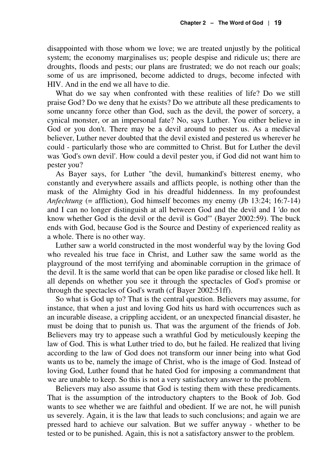disappointed with those whom we love; we are treated unjustly by the political system; the economy marginalises us; people despise and ridicule us; there are droughts, floods and pests; our plans are frustrated; we do not reach our goals; some of us are imprisoned, become addicted to drugs, become infected with HIV. And in the end we all have to die.

What do we say when confronted with these realities of life? Do we still praise God? Do we deny that he exists? Do we attribute all these predicaments to some uncanny force other than God, such as the devil, the power of sorcery, a cynical monster, or an impersonal fate? No, says Luther. You either believe in God or you don't. There may be a devil around to pester us. As a medieval believer, Luther never doubted that the devil existed and pestered us wherever he could - particularly those who are committed to Christ. But for Luther the devil was 'God's own devil'. How could a devil pester you, if God did not want him to pester you?

As Bayer says, for Luther "the devil, humankind's bitterest enemy, who constantly and everywhere assails and afflicts people, is nothing other than the mask of the Almighty God in his dreadful hiddenness. In my profoundest *Anfechtung* (= affliction), God himself becomes my enemy (Jb 13:24; 16:7-14) and I can no longer distinguish at all between God and the devil and I 'do not know whether God is the devil or the devil is God'" (Bayer 2002:59). The buck ends with God, because God is the Source and Destiny of experienced reality as a whole. There is no other way.

Luther saw a world constructed in the most wonderful way by the loving God who revealed his true face in Christ, and Luther saw the same world as the playground of the most terrifying and abominable corruption in the grimace of the devil. It is the same world that can be open like paradise or closed like hell. It all depends on whether you see it through the spectacles of God's promise or through the spectacles of God's wrath (cf Bayer 2002:51ff).

So what is God up to? That is the central question. Believers may assume, for instance, that when a just and loving God hits us hard with occurrences such as an incurable disease, a crippling accident, or an unexpected financial disaster, he must be doing that to punish us. That was the argument of the friends of Job. Believers may try to appease such a wrathful God by meticulously keeping the law of God. This is what Luther tried to do, but he failed. He realized that living according to the law of God does not transform our inner being into what God wants us to be, namely the image of Christ, who is the image of God. Instead of loving God, Luther found that he hated God for imposing a commandment that we are unable to keep. So this is not a very satisfactory answer to the problem.

Believers may also assume that God is testing them with these predicaments. That is the assumption of the introductory chapters to the Book of Job. God wants to see whether we are faithful and obedient. If we are not, he will punish us severely. Again, it is the law that leads to such conclusions; and again we are pressed hard to achieve our salvation. But we suffer anyway - whether to be tested or to be punished. Again, this is not a satisfactory answer to the problem.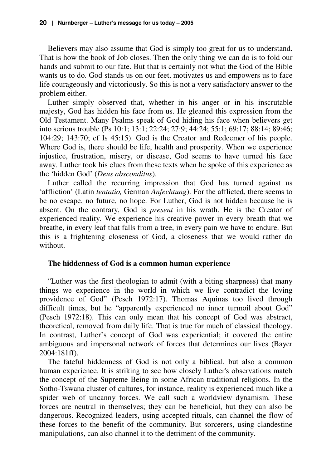Believers may also assume that God is simply too great for us to understand. That is how the book of Job closes. Then the only thing we can do is to fold our hands and submit to our fate. But that is certainly not what the God of the Bible wants us to do. God stands us on our feet, motivates us and empowers us to face life courageously and victoriously. So this is not a very satisfactory answer to the problem either.

Luther simply observed that, whether in his anger or in his inscrutable majesty, God has hidden his face from us. He gleaned this expression from the Old Testament. Many Psalms speak of God hiding his face when believers get into serious trouble (Ps 10:1; 13:1; 22:24; 27:9; 44:24; 55:1; 69:17; 88:14; 89:46; 104:29; 143:70; cf Is 45:15). God is the Creator and Redeemer of his people. Where God is, there should be life, health and prosperity. When we experience injustice, frustration, misery, or disease, God seems to have turned his face away. Luther took his clues from these texts when he spoke of this experience as the 'hidden God' (*Deus absconditus*).

Luther called the recurring impression that God has turned against us 'affliction' (Latin *tentatio,* German *Anfechtung*). For the afflicted, there seems to be no escape, no future, no hope. For Luther, God is not hidden because he is absent. On the contrary, God is *present* in his wrath. He is the Creator of experienced reality. We experience his creative power in every breath that we breathe, in every leaf that falls from a tree, in every pain we have to endure. But this is a frightening closeness of God, a closeness that we would rather do without.

#### **The hiddenness of God is a common human experience**

"Luther was the first theologian to admit (with a biting sharpness) that many things we experience in the world in which we live contradict the loving providence of God" (Pesch 1972:17). Thomas Aquinas too lived through difficult times, but he "apparently experienced no inner turmoil about God" (Pesch 1972:18). This can only mean that his concept of God was abstract, theoretical, removed from daily life. That is true for much of classical theology. In contrast, Luther's concept of God was experiential; it covered the entire ambiguous and impersonal network of forces that determines our lives (Bayer 2004:181ff).

The fateful hiddenness of God is not only a biblical, but also a common human experience. It is striking to see how closely Luther's observations match the concept of the Supreme Being in some African traditional religions. In the Sotho-Tswana cluster of cultures, for instance, reality is experienced much like a spider web of uncanny forces. We call such a worldview dynamism. These forces are neutral in themselves; they can be beneficial, but they can also be dangerous. Recognized leaders, using accepted rituals, can channel the flow of these forces to the benefit of the community. But sorcerers, using clandestine manipulations, can also channel it to the detriment of the community.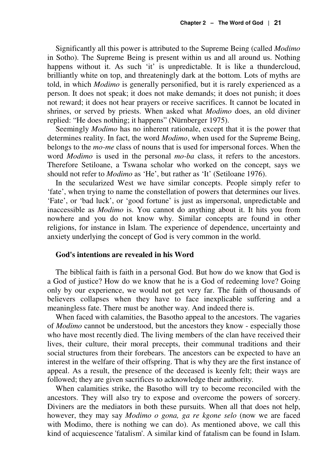Significantly all this power is attributed to the Supreme Being (called *Modimo* in Sotho). The Supreme Being is present within us and all around us. Nothing happens without it. As such 'it' is unpredictable. It is like a thundercloud, brilliantly white on top, and threateningly dark at the bottom. Lots of myths are told, in which *Modimo* is generally personified, but it is rarely experienced as a person. It does not speak; it does not make demands; it does not punish; it does not reward; it does not hear prayers or receive sacrifices. It cannot be located in shrines, or served by priests. When asked what *Modimo* does, an old diviner replied: "He does nothing; it happens" (Nürnberger 1975).

Seemingly *Modimo* has no inherent rationale, except that it is the power that determines reality. In fact, the word *Modimo*, when used for the Supreme Being, belongs to the *mo-me* class of nouns that is used for impersonal forces. When the word *Modimo* is used in the personal *mo-ba* class, it refers to the ancestors. Therefore Setiloane, a Tswana scholar who worked on the concept, says we should not refer to *Modimo* as 'He', but rather as 'It' (Setiloane 1976).

In the secularized West we have similar concepts. People simply refer to 'fate', when trying to name the constellation of powers that determines our lives. 'Fate', or 'bad luck', or 'good fortune' is just as impersonal, unpredictable and inaccessible as *Modimo* is. You cannot do anything about it. It hits you from nowhere and you do not know why. Similar concepts are found in other religions, for instance in Islam. The experience of dependence, uncertainty and anxiety underlying the concept of God is very common in the world.

#### **God's intentions are revealed in his Word**

The biblical faith is faith in a personal God. But how do we know that God is a God of justice? How do we know that he is a God of redeeming love? Going only by our experience, we would not get very far. The faith of thousands of believers collapses when they have to face inexplicable suffering and a meaningless fate. There must be another way. And indeed there is.

When faced with calamities, the Basotho appeal to the ancestors. The vagaries of *Modimo* cannot be understood, but the ancestors they know - especially those who have most recently died. The living members of the clan have received their lives, their culture, their moral precepts, their communal traditions and their social structures from their forebears. The ancestors can be expected to have an interest in the welfare of their offspring. That is why they are the first instance of appeal. As a result, the presence of the deceased is keenly felt; their ways are followed; they are given sacrifices to acknowledge their authority.

When calamities strike, the Basotho will try to become reconciled with the ancestors. They will also try to expose and overcome the powers of sorcery. Diviners are the mediators in both these pursuits. When all that does not help, however, they may say *Modimo o gona, ga re kgone selo* (now we are faced with Modimo, there is nothing we can do). As mentioned above, we call this kind of acquiescence 'fatalism'. A similar kind of fatalism can be found in Islam.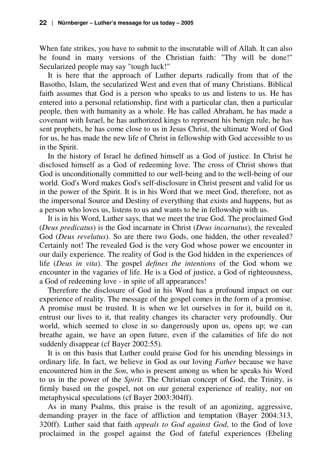When fate strikes, you have to submit to the inscrutable will of Allah. It can also be found in many versions of the Christian faith: "Thy will be done!" Secularized people may say "tough luck!"

It is here that the approach of Luther departs radically from that of the Basotho, Islam, the secularized West and even that of many Christians. Biblical faith assumes that God is a person who speaks to us and listens to us. He has entered into a personal relationship, first with a particular clan, then a particular people, then with humanity as a whole. He has called Abraham, he has made a covenant with Israel, he has authorized kings to represent his benign rule, he has sent prophets, he has come close to us in Jesus Christ, the ultimate Word of God for us, he has made the new life of Christ in fellowship with God accessible to us in the Spirit.

In the history of Israel he defined himself as a God of justice. In Christ he disclosed himself as a God of redeeming love. The cross of Christ shows that God is unconditionally committed to our well-being and to the well-being of our world. God's Word makes God's self-disclosure in Christ present and valid for us in the power of the Spirit. It is in his Word that we meet God, therefore, not as the impersonal Source and Destiny of everything that exists and happens, but as a person who loves us, listens to us and wants to be in fellowship with us.

It is in his Word, Luther says, that we meet the true God. The proclaimed God (*Deus predicatus*) is the God incarnate in Christ (*Deus incarnatus*), the revealed God (*Deus revelatus*). So are there two Gods, one hidden, the other revealed? Certainly not! The revealed God is the very God whose power we encounter in our daily experience. The reality of God is the God hidden in the experiences of life (*Deus in vita*). The gospel *defines the intentions* of the God whom we encounter in the vagaries of life. He is a God of justice, a God of righteousness, a God of redeeming love - in spite of all appearances!

Therefore the disclosure of God in his Word has a profound impact on our experience of reality. The message of the gospel comes in the form of a promise. A promise must be trusted. It is when we let ourselves in for it, build on it, entrust our lives to it, that reality changes its character very profoundly. Our world, which seemed to close in so dangerously upon us, opens up; we can breathe again, we have an open future, even if the calamities of life do not suddenly disappear (cf Bayer 2002:55).

It is on this basis that Luther could praise God for his unending blessings in ordinary life. In fact, we believe in God as our loving *Father* because we have encountered him in the *Son*, who is present among us when he speaks his Word to us in the power of the *Spirit*. The Christian concept of God, the Trinity, is firmly based on the gospel, not on our general experience of reality, nor on metaphysical speculations (cf Bayer 2003:304ff).

As in many Psalms, this praise is the result of an agonizing, aggressive, demanding prayer in the face of affliction and temptation (Bayer 2004:313, 320ff). Luther said that faith *appeals to God against God*, to the God of love proclaimed in the gospel against the God of fateful experiences (Ebeling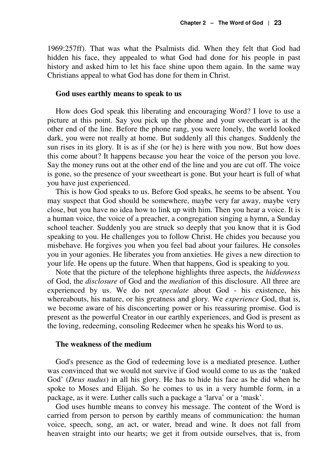1969:257ff). That was what the Psalmists did. When they felt that God had hidden his face, they appealed to what God had done for his people in past history and asked him to let his face shine upon them again. In the same way Christians appeal to what God has done for them in Christ.

#### **God uses earthly means to speak to us**

How does God speak this liberating and encouraging Word? I love to use a picture at this point. Say you pick up the phone and your sweetheart is at the other end of the line. Before the phone rang, you were lonely, the world looked dark, you were not really at home. But suddenly all this changes. Suddenly the sun rises in its glory. It is as if she (or he) is here with you now. But how does this come about? It happens because you hear the voice of the person you love. Say the money runs out at the other end of the line and you are cut off. The voice is gone, so the presence of your sweetheart is gone. But your heart is full of what you have just experienced.

This is how God speaks to us. Before God speaks, he seems to be absent. You may suspect that God should be somewhere, maybe very far away, maybe very close, but you have no idea how to link up with him. Then you hear a voice. It is a human voice, the voice of a preacher, a congregation singing a hymn, a Sunday school teacher. Suddenly you are struck so deeply that you know that it is God speaking to you. He challenges you to follow Christ. He chides you because you misbehave. He forgives you when you feel bad about your failures. He consoles you in your agonies. He liberates you from anxieties. He gives a new direction to your life. He opens up the future. When that happens, God is speaking to you.

Note that the picture of the telephone highlights three aspects, the *hiddenness* of God, the *disclosure* of God and the *mediation* of this disclosure. All three are experienced by us. We do not *speculate* about God - his existence, his whereabouts, his nature, or his greatness and glory. We *experience* God, that is, we become aware of his disconcerting power or his reassuring promise. God is present as the powerful Creator in our earthly experiences, and God is present as the loving, redeeming, consoling Redeemer when he speaks his Word to us.

#### **The weakness of the medium**

God's presence as the God of redeeming love is a mediated presence. Luther was convinced that we would not survive if God would come to us as the 'naked God' (*Deus nudus*) in all his glory. He has to hide his face as he did when he spoke to Moses and Elijah. So he comes to us in a very humble form, in a package, as it were. Luther calls such a package a 'larva' or a 'mask'.

God uses humble means to convey his message. The content of the Word is carried from person to person by earthly means of communication: the human voice, speech, song, an act, or water, bread and wine. It does not fall from heaven straight into our hearts; we get it from outside ourselves, that is, from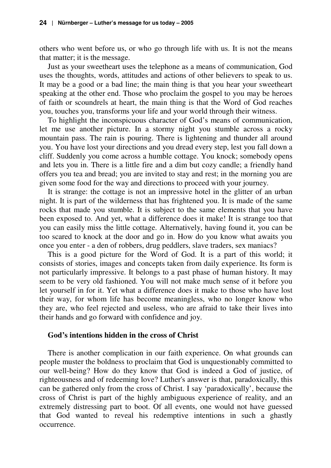others who went before us, or who go through life with us. It is not the means that matter; it is the message.

Just as your sweetheart uses the telephone as a means of communication, God uses the thoughts, words, attitudes and actions of other believers to speak to us. It may be a good or a bad line; the main thing is that you hear your sweetheart speaking at the other end. Those who proclaim the gospel to you may be heroes of faith or scoundrels at heart, the main thing is that the Word of God reaches you, touches you, transforms your life and your world through their witness.

To highlight the inconspicuous character of God's means of communication, let me use another picture. In a stormy night you stumble across a rocky mountain pass. The rain is pouring. There is lightening and thunder all around you. You have lost your directions and you dread every step, lest you fall down a cliff. Suddenly you come across a humble cottage. You knock; somebody opens and lets you in. There is a little fire and a dim but cozy candle; a friendly hand offers you tea and bread; you are invited to stay and rest; in the morning you are given some food for the way and directions to proceed with your journey.

It is strange: the cottage is not an impressive hotel in the glitter of an urban night. It is part of the wilderness that has frightened you. It is made of the same rocks that made you stumble. It is subject to the same elements that you have been exposed to. And yet, what a difference does it make! It is strange too that you can easily miss the little cottage. Alternatively, having found it, you can be too scared to knock at the door and go in. How do you know what awaits you once you enter - a den of robbers, drug peddlers, slave traders, sex maniacs?

This is a good picture for the Word of God. It is a part of this world; it consists of stories, images and concepts taken from daily experience. Its form is not particularly impressive. It belongs to a past phase of human history. It may seem to be very old fashioned. You will not make much sense of it before you let yourself in for it. Yet what a difference does it make to those who have lost their way, for whom life has become meaningless, who no longer know who they are, who feel rejected and useless, who are afraid to take their lives into their hands and go forward with confidence and joy.

#### **God's intentions hidden in the cross of Christ**

There is another complication in our faith experience. On what grounds can people muster the boldness to proclaim that God is unquestionably committed to our well-being? How do they know that God is indeed a God of justice, of righteousness and of redeeming love? Luther's answer is that, paradoxically, this can be gathered only from the cross of Christ. I say 'paradoxically', because the cross of Christ is part of the highly ambiguous experience of reality, and an extremely distressing part to boot. Of all events, one would not have guessed that God wanted to reveal his redemptive intentions in such a ghastly occurrence.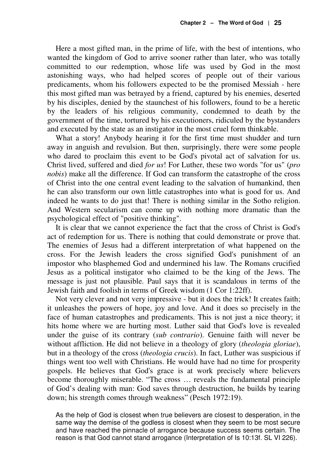Here a most gifted man, in the prime of life, with the best of intentions, who wanted the kingdom of God to arrive sooner rather than later, who was totally committed to our redemption, whose life was used by God in the most astonishing ways, who had helped scores of people out of their various predicaments, whom his followers expected to be the promised Messiah - here this most gifted man was betrayed by a friend, captured by his enemies, deserted by his disciples, denied by the staunchest of his followers, found to be a heretic by the leaders of his religious community, condemned to death by the government of the time, tortured by his executioners, ridiculed by the bystanders and executed by the state as an instigator in the most cruel form thinkable.

What a story! Anybody hearing it for the first time must shudder and turn away in anguish and revulsion. But then, surprisingly, there were some people who dared to proclaim this event to be God's pivotal act of salvation for us. Christ lived, suffered and died *for us*! For Luther, these two words "for us" (*pro nobis*) make all the difference. If God can transform the catastrophe of the cross of Christ into the one central event leading to the salvation of humankind, then he can also transform our own little catastrophes into what is good for us. And indeed he wants to do just that! There is nothing similar in the Sotho religion. And Western secularism can come up with nothing more dramatic than the psychological effect of "positive thinking".

It is clear that we cannot experience the fact that the cross of Christ is God's act of redemption for us. There is nothing that could demonstrate or prove that. The enemies of Jesus had a different interpretation of what happened on the cross. For the Jewish leaders the cross signified God's punishment of an impostor who blasphemed God and undermined his law. The Romans crucified Jesus as a political instigator who claimed to be the king of the Jews. The message is just not plausible. Paul says that it is scandalous in terms of the Jewish faith and foolish in terms of Greek wisdom (1 Cor 1:22ff).

Not very clever and not very impressive - but it does the trick! It creates faith; it unleashes the powers of hope, joy and love. And it does so precisely in the face of human catastrophes and predicaments. This is not just a nice theory; it hits home where we are hurting most. Luther said that God's love is revealed under the guise of its contrary (*sub contrario*). Genuine faith will never be without affliction. He did not believe in a theology of glory (*theologia gloriae*), but in a theology of the cross (*theologia crucis*). In fact, Luther was suspicious if things went too well with Christians. He would have had no time for prosperity gospels. He believes that God's grace is at work precisely where believers become thoroughly miserable. "The cross … reveals the fundamental principle of God's dealing with man: God saves through destruction, he builds by tearing down; his strength comes through weakness" (Pesch 1972:19).

As the help of God is closest when true believers are closest to desperation, in the same way the demise of the godless is closest when they seem to be most secure and have reached the pinnacle of arrogance because success seems certain. The reason is that God cannot stand arrogance (Interpretation of Is 10:13f. SL VI 226).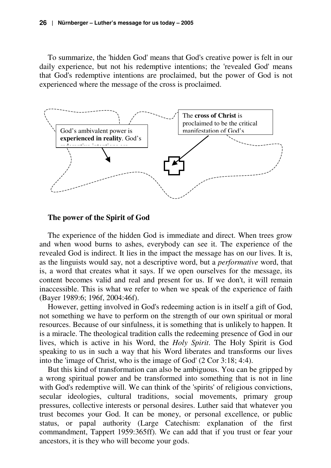To summarize, the 'hidden God' means that God's creative power is felt in our daily experience, but not his redemptive intentions; the 'revealed God' means that God's redemptive intentions are proclaimed, but the power of God is not experienced where the message of the cross is proclaimed.



#### **The power of the Spirit of God**

The experience of the hidden God is immediate and direct. When trees grow and when wood burns to ashes, everybody can see it. The experience of the revealed God is indirect. It lies in the impact the message has on our lives. It is, as the linguists would say, not a descriptive word, but a *performative* word, that is, a word that creates what it says. If we open ourselves for the message, its content becomes valid and real and present for us. If we don't, it will remain inaccessible. This is what we refer to when we speak of the experience of faith (Bayer 1989:6; 196f, 2004:46f).

However, getting involved in God's redeeming action is in itself a gift of God, not something we have to perform on the strength of our own spiritual or moral resources. Because of our sinfulness, it is something that is unlikely to happen. It is a miracle. The theological tradition calls the redeeming presence of God in our lives, which is active in his Word, the *Holy Spirit*. The Holy Spirit is God speaking to us in such a way that his Word liberates and transforms our lives into the 'image of Christ, who is the image of God' (2 Cor 3:18; 4:4).

But this kind of transformation can also be ambiguous. You can be gripped by a wrong spiritual power and be transformed into something that is not in line with God's redemptive will. We can think of the 'spirits' of religious convictions, secular ideologies, cultural traditions, social movements, primary group pressures, collective interests or personal desires. Luther said that whatever you trust becomes your God. It can be money, or personal excellence, or public status, or papal authority (Large Catechism: explanation of the first commandment, Tappert 1959:365ff). We can add that if you trust or fear your ancestors, it is they who will become your gods.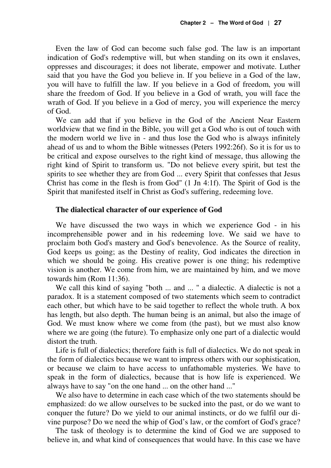Even the law of God can become such false god. The law is an important indication of God's redemptive will, but when standing on its own it enslaves, oppresses and discourages; it does not liberate, empower and motivate. Luther said that you have the God you believe in. If you believe in a God of the law, you will have to fulfill the law. If you believe in a God of freedom, you will share the freedom of God. If you believe in a God of wrath, you will face the wrath of God. If you believe in a God of mercy, you will experience the mercy of God.

We can add that if you believe in the God of the Ancient Near Eastern worldview that we find in the Bible, you will get a God who is out of touch with the modern world we live in - and thus lose the God who is always infinitely ahead of us and to whom the Bible witnesses (Peters 1992:26f). So it is for us to be critical and expose ourselves to the right kind of message, thus allowing the right kind of Spirit to transform us. "Do not believe every spirit, but test the spirits to see whether they are from God ... every Spirit that confesses that Jesus Christ has come in the flesh is from God" (1 Jn 4:1f). The Spirit of God is the Spirit that manifested itself in Christ as God's suffering, redeeming love.

#### **The dialectical character of our experience of God**

We have discussed the two ways in which we experience God - in his incomprehensible power and in his redeeming love. We said we have to proclaim both God's mastery and God's benevolence. As the Source of reality, God keeps us going; as the Destiny of reality, God indicates the direction in which we should be going. His creative power is one thing; his redemptive vision is another. We come from him, we are maintained by him, and we move towards him (Rom 11:36).

We call this kind of saying "both ... and ..." a dialectic. A dialectic is not a paradox. It is a statement composed of two statements which seem to contradict each other, but which have to be said together to reflect the whole truth. A box has length, but also depth. The human being is an animal, but also the image of God. We must know where we come from (the past), but we must also know where we are going (the future). To emphasize only one part of a dialectic would distort the truth.

Life is full of dialectics; therefore faith is full of dialectics. We do not speak in the form of dialectics because we want to impress others with our sophistication, or because we claim to have access to unfathomable mysteries. We have to speak in the form of dialectics, because that is how life is experienced. We always have to say "on the one hand ... on the other hand ..."

We also have to determine in each case which of the two statements should be emphasized: do we allow ourselves to be sucked into the past, or do we want to conquer the future? Do we yield to our animal instincts, or do we fulfil our divine purpose? Do we need the whip of God's law, or the comfort of God's grace?

The task of theology is to determine the kind of God we are supposed to believe in, and what kind of consequences that would have. In this case we have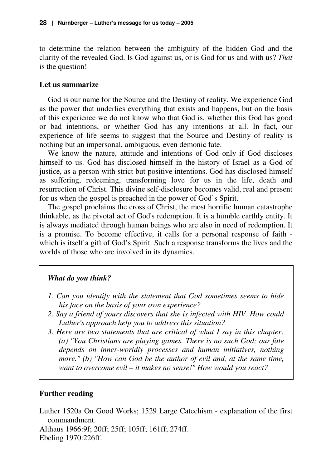to determine the relation between the ambiguity of the hidden God and the clarity of the revealed God. Is God against us, or is God for us and with us? *That* is the question!

#### **Let us summarize**

God is our name for the Source and the Destiny of reality. We experience God as the power that underlies everything that exists and happens, but on the basis of this experience we do not know who that God is, whether this God has good or bad intentions, or whether God has any intentions at all. In fact, our experience of life seems to suggest that the Source and Destiny of reality is nothing but an impersonal, ambiguous, even demonic fate.

We know the nature, attitude and intentions of God only if God discloses himself to us. God has disclosed himself in the history of Israel as a God of justice, as a person with strict but positive intentions. God has disclosed himself as suffering, redeeming, transforming love for us in the life, death and resurrection of Christ. This divine self-disclosure becomes valid, real and present for us when the gospel is preached in the power of God's Spirit.

The gospel proclaims the cross of Christ, the most horrific human catastrophe thinkable, as the pivotal act of God's redemption. It is a humble earthly entity. It is always mediated through human beings who are also in need of redemption. It is a promise. To become effective, it calls for a personal response of faith which is itself a gift of God's Spirit. Such a response transforms the lives and the worlds of those who are involved in its dynamics.

#### *What do you think?*

- *1. Can you identify with the statement that God sometimes seems to hide his face on the basis of your own experience?*
- *2. Say a friend of yours discovers that she is infected with HIV. How could Luther's approach help you to address this situation?*
- *3. Here are two statements that are critical of what I say in this chapter: (a) "You Christians are playing games. There is no such God; our fate depends on inner-worldly processes and human initiatives, nothing more." (b) "How can God be the author of evil and, at the same time, want to overcome evil – it makes no sense!" How would you react?*

# **Further reading**

Luther 1520a On Good Works; 1529 Large Catechism - explanation of the first commandment.

Althaus 1966:9f; 20ff; 25ff; 105ff; 161ff; 274ff. Ebeling 1970:226ff.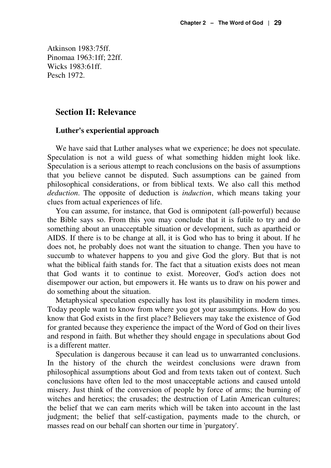Atkinson 1983:75ff. Pinomaa 1963:1ff; 22ff. Wicks 1983:61ff. Pesch 1972.

#### **Section II: Relevance**

#### **Luther's experiential approach**

We have said that Luther analyses what we experience; he does not speculate. Speculation is not a wild guess of what something hidden might look like. Speculation is a serious attempt to reach conclusions on the basis of assumptions that you believe cannot be disputed. Such assumptions can be gained from philosophical considerations, or from biblical texts. We also call this method *deduction*. The opposite of deduction is *induction*, which means taking your clues from actual experiences of life.

You can assume, for instance, that God is omnipotent (all-powerful) because the Bible says so. From this you may conclude that it is futile to try and do something about an unacceptable situation or development, such as apartheid or AIDS. If there is to be change at all, it is God who has to bring it about. If he does not, he probably does not want the situation to change. Then you have to succumb to whatever happens to you and give God the glory. But that is not what the biblical faith stands for. The fact that a situation exists does not mean that God wants it to continue to exist. Moreover, God's action does not disempower our action, but empowers it. He wants us to draw on his power and do something about the situation.

Metaphysical speculation especially has lost its plausibility in modern times. Today people want to know from where you got your assumptions. How do you know that God exists in the first place? Believers may take the existence of God for granted because they experience the impact of the Word of God on their lives and respond in faith. But whether they should engage in speculations about God is a different matter.

Speculation is dangerous because it can lead us to unwarranted conclusions. In the history of the church the weirdest conclusions were drawn from philosophical assumptions about God and from texts taken out of context. Such conclusions have often led to the most unacceptable actions and caused untold misery. Just think of the conversion of people by force of arms; the burning of witches and heretics; the crusades; the destruction of Latin American cultures; the belief that we can earn merits which will be taken into account in the last judgment; the belief that self-castigation, payments made to the church, or masses read on our behalf can shorten our time in 'purgatory'.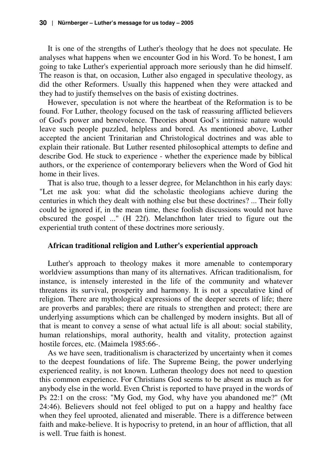It is one of the strengths of Luther's theology that he does not speculate. He analyses what happens when we encounter God in his Word. To be honest, I am going to take Luther's experiential approach more seriously than he did himself. The reason is that, on occasion, Luther also engaged in speculative theology, as did the other Reformers. Usually this happened when they were attacked and they had to justify themselves on the basis of existing doctrines.

However, speculation is not where the heartbeat of the Reformation is to be found. For Luther, theology focused on the task of reassuring afflicted believers of God's power and benevolence. Theories about God's intrinsic nature would leave such people puzzled, helpless and bored. As mentioned above, Luther accepted the ancient Trinitarian and Christological doctrines and was able to explain their rationale. But Luther resented philosophical attempts to define and describe God. He stuck to experience - whether the experience made by biblical authors, or the experience of contemporary believers when the Word of God hit home in their lives.

That is also true, though to a lesser degree, for Melanchthon in his early days: "Let me ask you: what did the scholastic theologians achieve during the centuries in which they dealt with nothing else but these doctrines? ... Their folly could be ignored if, in the mean time, these foolish discussions would not have obscured the gospel ..." (H 22f). Melanchthon later tried to figure out the experiential truth content of these doctrines more seriously.

#### **African traditional religion and Luther's experiential approach**

Luther's approach to theology makes it more amenable to contemporary worldview assumptions than many of its alternatives. African traditionalism, for instance, is intensely interested in the life of the community and whatever threatens its survival, prosperity and harmony. It is not a speculative kind of religion. There are mythological expressions of the deeper secrets of life; there are proverbs and parables; there are rituals to strengthen and protect; there are underlying assumptions which can be challenged by modern insights. But all of that is meant to convey a sense of what actual life is all about: social stability, human relationships, moral authority, health and vitality, protection against hostile forces, etc. (Maimela 1985:66-.

As we have seen, traditionalism is characterized by uncertainty when it comes to the deepest foundations of life. The Supreme Being, the power underlying experienced reality, is not known. Lutheran theology does not need to question this common experience. For Christians God seems to be absent as much as for anybody else in the world. Even Christ is reported to have prayed in the words of Ps 22:1 on the cross: "My God, my God, why have you abandoned me?" (Mt 24:46). Believers should not feel obliged to put on a happy and healthy face when they feel uprooted, alienated and miserable. There is a difference between faith and make-believe. It is hypocrisy to pretend, in an hour of affliction, that all is well. True faith is honest.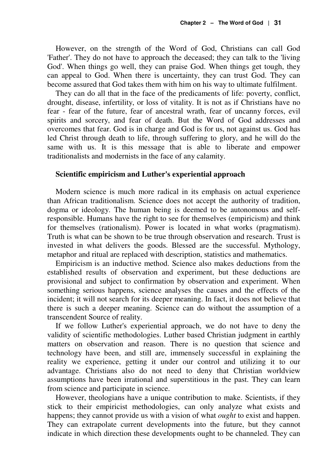However, on the strength of the Word of God, Christians can call God 'Father'. They do not have to approach the deceased; they can talk to the 'living God'. When things go well, they can praise God. When things get tough, they can appeal to God. When there is uncertainty, they can trust God. They can become assured that God takes them with him on his way to ultimate fulfilment.

They can do all that in the face of the predicaments of life: poverty, conflict, drought, disease, infertility, or loss of vitality. It is not as if Christians have no fear - fear of the future, fear of ancestral wrath, fear of uncanny forces, evil spirits and sorcery, and fear of death. But the Word of God addresses and overcomes that fear. God is in charge and God is for us, not against us. God has led Christ through death to life, through suffering to glory, and he will do the same with us. It is this message that is able to liberate and empower traditionalists and modernists in the face of any calamity.

#### **Scientific empiricism and Luther's experiential approach**

Modern science is much more radical in its emphasis on actual experience than African traditionalism. Science does not accept the authority of tradition, dogma or ideology. The human being is deemed to be autonomous and selfresponsible. Humans have the right to see for themselves (empiricism) and think for themselves (rationalism). Power is located in what works (pragmatism). Truth is what can be shown to be true through observation and research. Trust is invested in what delivers the goods. Blessed are the successful. Mythology, metaphor and ritual are replaced with description, statistics and mathematics.

Empiricism is an inductive method. Science also makes deductions from the established results of observation and experiment, but these deductions are provisional and subject to confirmation by observation and experiment. When something serious happens, science analyses the causes and the effects of the incident; it will not search for its deeper meaning. In fact, it does not believe that there is such a deeper meaning. Science can do without the assumption of a transcendent Source of reality.

If we follow Luther's experiential approach, we do not have to deny the validity of scientific methodologies. Luther based Christian judgment in earthly matters on observation and reason. There is no question that science and technology have been, and still are, immensely successful in explaining the reality we experience, getting it under our control and utilizing it to our advantage. Christians also do not need to deny that Christian worldview assumptions have been irrational and superstitious in the past. They can learn from science and participate in science.

However, theologians have a unique contribution to make. Scientists, if they stick to their empiricist methodologies, can only analyze what exists and happens; they cannot provide us with a vision of what *ought* to exist and happen. They can extrapolate current developments into the future, but they cannot indicate in which direction these developments ought to be channeled. They can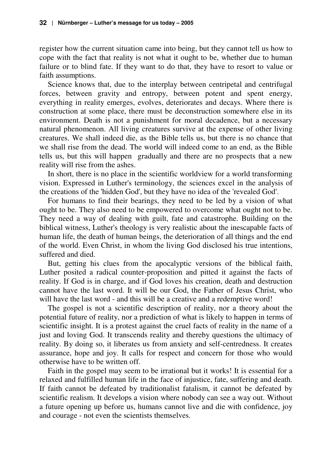register how the current situation came into being, but they cannot tell us how to cope with the fact that reality is not what it ought to be, whether due to human failure or to blind fate. If they want to do that, they have to resort to value or faith assumptions.

Science knows that, due to the interplay between centripetal and centrifugal forces, between gravity and entropy, between potent and spent energy, everything in reality emerges, evolves, deteriorates and decays. Where there is construction at some place, there must be deconstruction somewhere else in its environment. Death is not a punishment for moral decadence, but a necessary natural phenomenon. All living creatures survive at the expense of other living creatures. We shall indeed die, as the Bible tells us, but there is no chance that we shall rise from the dead. The world will indeed come to an end, as the Bible tells us, but this will happen gradually and there are no prospects that a new reality will rise from the ashes.

In short, there is no place in the scientific worldview for a world transforming vision. Expressed in Luther's terminology, the sciences excel in the analysis of the creations of the 'hidden God', but they have no idea of the 'revealed God'.

For humans to find their bearings, they need to be led by a vision of what ought to be. They also need to be empowered to overcome what ought not to be. They need a way of dealing with guilt, fate and catastrophe. Building on the biblical witness, Luther's theology is very realistic about the inescapable facts of human life, the death of human beings, the deterioration of all things and the end of the world. Even Christ, in whom the living God disclosed his true intentions, suffered and died.

But, getting his clues from the apocalyptic versions of the biblical faith, Luther posited a radical counter-proposition and pitted it against the facts of reality. If God is in charge, and if God loves his creation, death and destruction cannot have the last word. It will be our God, the Father of Jesus Christ, who will have the last word - and this will be a creative and a redemptive word!

The gospel is not a scientific description of reality, nor a theory about the potential future of reality, nor a prediction of what is likely to happen in terms of scientific insight. It is a protest against the cruel facts of reality in the name of a just and loving God. It transcends reality and thereby questions the ultimacy of reality. By doing so, it liberates us from anxiety and self-centredness. It creates assurance, hope and joy. It calls for respect and concern for those who would otherwise have to be written off.

Faith in the gospel may seem to be irrational but it works! It is essential for a relaxed and fulfilled human life in the face of injustice, fate, suffering and death. If faith cannot be defeated by traditionalist fatalism, it cannot be defeated by scientific realism. It develops a vision where nobody can see a way out. Without a future opening up before us, humans cannot live and die with confidence, joy and courage - not even the scientists themselves.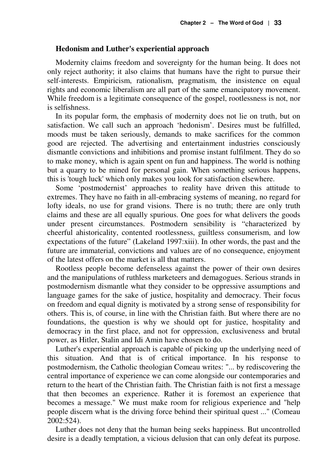#### **Hedonism and Luther's experiential approach**

Modernity claims freedom and sovereignty for the human being. It does not only reject authority; it also claims that humans have the right to pursue their self-interests. Empiricism, rationalism, pragmatism, the insistence on equal rights and economic liberalism are all part of the same emancipatory movement. While freedom is a legitimate consequence of the gospel, rootlessness is not, nor is selfishness.

In its popular form, the emphasis of modernity does not lie on truth, but on satisfaction. We call such an approach 'hedonism'. Desires must be fulfilled, moods must be taken seriously, demands to make sacrifices for the common good are rejected. The advertising and entertainment industries consciously dismantle convictions and inhibitions and promise instant fulfilment. They do so to make money, which is again spent on fun and happiness. The world is nothing but a quarry to be mined for personal gain. When something serious happens, this is 'tough luck' which only makes you look for satisfaction elsewhere.

Some 'postmodernist' approaches to reality have driven this attitude to extremes. They have no faith in all-embracing systems of meaning, no regard for lofty ideals, no use for grand visions. There is no truth; there are only truth claims and these are all equally spurious. One goes for what delivers the goods under present circumstances. Postmodern sensibility is "characterized by cheerful ahistoricality, contented rootlessness, guiltless consumerism, and low expectations of the future" (Lakeland 1997:xiii). In other words, the past and the future are immaterial, convictions and values are of no consequence, enjoyment of the latest offers on the market is all that matters.

Rootless people become defenseless against the power of their own desires and the manipulations of ruthless marketeers and demagogues. Serious strands in postmodernism dismantle what they consider to be oppressive assumptions and language games for the sake of justice, hospitality and democracy. Their focus on freedom and equal dignity is motivated by a strong sense of responsibility for others. This is, of course, in line with the Christian faith. But where there are no foundations, the question is why we should opt for justice, hospitality and democracy in the first place, and not for oppression, exclusiveness and brutal power, as Hitler, Stalin and Idi Amin have chosen to do.

Luther's experiential approach is capable of picking up the underlying need of this situation. And that is of critical importance. In his response to postmodernism, the Catholic theologian Comeau writes: "... by rediscovering the central importance of experience we can come alongside our contemporaries and return to the heart of the Christian faith. The Christian faith is not first a message that then becomes an experience. Rather it is foremost an experience that becomes a message." We must make room for religious experience and "help people discern what is the driving force behind their spiritual quest ..." (Comeau 2002:524).

Luther does not deny that the human being seeks happiness. But uncontrolled desire is a deadly temptation, a vicious delusion that can only defeat its purpose.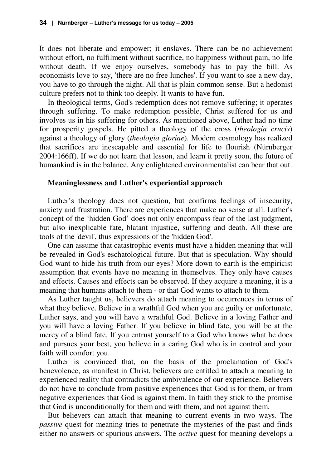It does not liberate and empower; it enslaves. There can be no achievement without effort, no fulfilment without sacrifice, no happiness without pain, no life without death. If we enjoy ourselves, somebody has to pay the bill. As economists love to say, 'there are no free lunches'. If you want to see a new day, you have to go through the night. All that is plain common sense. But a hedonist culture prefers not to think too deeply. It wants to have fun.

In theological terms, God's redemption does not remove suffering; it operates through suffering. To make redemption possible, Christ suffered for us and involves us in his suffering for others. As mentioned above, Luther had no time for prosperity gospels. He pitted a theology of the cross (*theologia crucis*) against a theology of glory (*theologia gloriae*). Modern cosmology has realized that sacrifices are inescapable and essential for life to flourish (Nürnberger 2004:166ff). If we do not learn that lesson, and learn it pretty soon, the future of humankind is in the balance. Any enlightened environmentalist can bear that out.

#### **Meaninglessness and Luther's experiential approach**

Luther's theology does not question, but confirms feelings of insecurity, anxiety and frustration. There are experiences that make no sense at all. Luther's concept of the 'hidden God' does not only encompass fear of the last judgment, but also inexplicable fate, blatant injustice, suffering and death. All these are tools of the 'devil', thus expressions of the 'hidden God'.

One can assume that catastrophic events must have a hidden meaning that will be revealed in God's eschatological future. But that is speculation. Why should God want to hide his truth from our eyes? More down to earth is the empiricist assumption that events have no meaning in themselves. They only have causes and effects. Causes and effects can be observed. If they acquire a meaning, it is a meaning that humans attach to them - or that God wants to attach to them.

As Luther taught us, believers do attach meaning to occurrences in terms of what they believe. Believe in a wrathful God when you are guilty or unfortunate, Luther says, and you will have a wrathful God. Believe in a loving Father and you will have a loving Father. If you believe in blind fate, you will be at the mercy of a blind fate. If you entrust yourself to a God who knows what he does and pursues your best, you believe in a caring God who is in control and your faith will comfort you.

Luther is convinced that, on the basis of the proclamation of God's benevolence, as manifest in Christ, believers are entitled to attach a meaning to experienced reality that contradicts the ambivalence of our experience. Believers do not have to conclude from positive experiences that God is for them, or from negative experiences that God is against them. In faith they stick to the promise that God is unconditionally for them and with them, and not against them.

But believers can attach that meaning to current events in two ways. The *passive* quest for meaning tries to penetrate the mysteries of the past and finds either no answers or spurious answers. The *active* quest for meaning develops a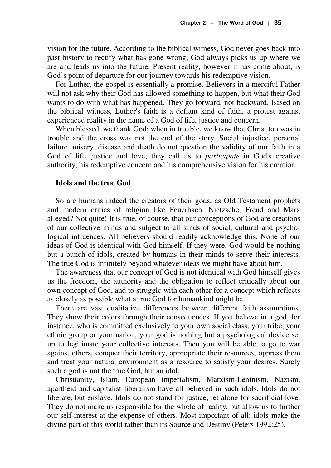vision for the future. According to the biblical witness, God never goes back into past history to rectify what has gone wrong; God always picks us up where we are and leads us into the future. Present reality, however it has come about, is God's point of departure for our journey towards his redemptive vision.

For Luther, the gospel is essentially a promise. Believers in a merciful Father will not ask why their God has allowed something to happen, but what their God wants to do with what has happened. They go forward, not backward. Based on the biblical witness, Luther's faith is a defiant kind of faith, a protest against experienced reality in the name of a God of life, justice and concern.

When blessed, we thank God; when in trouble, we know that Christ too was in trouble and the cross was not the end of the story. Social injustice, personal failure, misery, disease and death do not question the validity of our faith in a God of life, justice and love; they call us to *participate* in God's creative authority, his redemptive concern and his comprehensive vision for his creation.

#### **Idols and the true God**

So are humans indeed the creators of their gods, as Old Testament prophets and modern critics of religion like Feuerbach, Nietzsche, Freud and Marx alleged? Not quite! It is true, of course, that our conceptions of God are creations of our collective minds and subject to all kinds of social, cultural and psychological influences. All believers should readily acknowledge this. None of our ideas of God is identical with God himself. If they were, God would be nothing but a bunch of idols, created by humans in their minds to serve their interests. The true God is infinitely beyond whatever ideas we might have about him.

The awareness that our concept of God is not identical with God himself gives us the freedom, the authority and the obligation to reflect critically about our own concept of God, and to struggle with each other for a concept which reflects as closely as possible what a true God for humankind might be.

There are vast qualitative differences between different faith assumptions. They show their colors through their consequences. If you believe in a god, for instance, who is committed exclusively to your own social class, your tribe, your ethnic group or your nation, your god is nothing but a psychological device set up to legitimate your collective interests. Then you will be able to go to war against others, conquer their territory, appropriate their resources, oppress them and treat your natural environment as a resource to satisfy your desires. Surely such a god is not the true God, but an idol.

Christianity, Islam, European imperialism, Marxism-Leninism, Nazism, apartheid and capitalist liberalism have all believed in such idols. Idols do not liberate, but enslave. Idols do not stand for justice, let alone for sacrificial love. They do not make us responsible for the whole of reality, but allow us to further our self-interest at the expense of others. Most important of all: idols make the divine part of this world rather than its Source and Destiny (Peters 1992:25).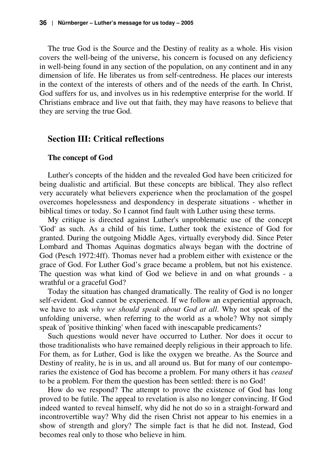The true God is the Source and the Destiny of reality as a whole. His vision covers the well-being of the universe, his concern is focused on any deficiency in well-being found in any section of the population, on any continent and in any dimension of life. He liberates us from self-centredness. He places our interests in the context of the interests of others and of the needs of the earth. In Christ, God suffers for us, and involves us in his redemptive enterprise for the world. If Christians embrace and live out that faith, they may have reasons to believe that they are serving the true God.

#### **Section III: Critical reflections**

#### **The concept of God**

Luther's concepts of the hidden and the revealed God have been criticized for being dualistic and artificial. But these concepts are biblical. They also reflect very accurately what believers experience when the proclamation of the gospel overcomes hopelessness and despondency in desperate situations - whether in biblical times or today. So I cannot find fault with Luther using these terms.

My critique is directed against Luther's unproblematic use of the concept 'God' as such. As a child of his time, Luther took the existence of God for granted. During the outgoing Middle Ages, virtually everybody did. Since Peter Lombard and Thomas Aquinas dogmatics always began with the doctrine of God (Pesch 1972:4ff). Thomas never had a problem either with existence or the grace of God. For Luther God's grace became a problem, but not his existence. The question was what kind of God we believe in and on what grounds - a wrathful or a graceful God?

Today the situation has changed dramatically. The reality of God is no longer self-evident. God cannot be experienced. If we follow an experiential approach, we have to ask *why we should speak about God at all*. Why not speak of the unfolding universe, when referring to the world as a whole? Why not simply speak of 'positive thinking' when faced with inescapable predicaments?

Such questions would never have occurred to Luther. Nor does it occur to those traditionalists who have remained deeply religious in their approach to life. For them, as for Luther, God is like the oxygen we breathe. As the Source and Destiny of reality, he is in us, and all around us. But for many of our contemporaries the existence of God has become a problem. For many others it has *ceased* to be a problem. For them the question has been settled: there is no God!

How do we respond? The attempt to prove the existence of God has long proved to be futile. The appeal to revelation is also no longer convincing. If God indeed wanted to reveal himself, why did he not do so in a straight-forward and incontrovertible way? Why did the risen Christ not appear to his enemies in a show of strength and glory? The simple fact is that he did not. Instead, God becomes real only to those who believe in him.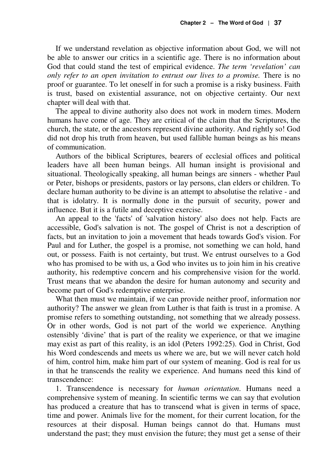If we understand revelation as objective information about God, we will not be able to answer our critics in a scientific age. There is no information about God that could stand the test of empirical evidence. *The term 'revelation' can only refer to an open invitation to entrust our lives to a promise.* There is no proof or guarantee. To let oneself in for such a promise is a risky business. Faith is trust, based on existential assurance, not on objective certainty. Our next chapter will deal with that.

The appeal to divine authority also does not work in modern times. Modern humans have come of age. They are critical of the claim that the Scriptures, the church, the state, or the ancestors represent divine authority. And rightly so! God did not drop his truth from heaven, but used fallible human beings as his means of communication.

Authors of the biblical Scriptures, bearers of ecclesial offices and political leaders have all been human beings. All human insight is provisional and situational. Theologically speaking, all human beings are sinners - whether Paul or Peter, bishops or presidents, pastors or lay persons, clan elders or children. To declare human authority to be divine is an attempt to absolutise the relative - and that is idolatry. It is normally done in the pursuit of security, power and influence. But it is a futile and deceptive exercise.

An appeal to the 'facts' of 'salvation history' also does not help. Facts are accessible, God's salvation is not. The gospel of Christ is not a description of facts, but an invitation to join a movement that heads towards God's vision. For Paul and for Luther, the gospel is a promise, not something we can hold, hand out, or possess. Faith is not certainty, but trust. We entrust ourselves to a God who has promised to be with us, a God who invites us to join him in his creative authority, his redemptive concern and his comprehensive vision for the world. Trust means that we abandon the desire for human autonomy and security and become part of God's redemptive enterprise.

What then must we maintain, if we can provide neither proof, information nor authority? The answer we glean from Luther is that faith is trust in a promise. A promise refers to something outstanding, not something that we already possess. Or in other words, God is not part of the world we experience. Anything ostensibly 'divine' that is part of the reality we experience, or that we imagine may exist as part of this reality, is an idol (Peters 1992:25). God in Christ, God his Word condescends and meets us where we are, but we will never catch hold of him, control him, make him part of our system of meaning. God is real for us in that he transcends the reality we experience. And humans need this kind of transcendence:

1. Transcendence is necessary for *human orientation*. Humans need a comprehensive system of meaning. In scientific terms we can say that evolution has produced a creature that has to transcend what is given in terms of space, time and power. Animals live for the moment, for their current location, for the resources at their disposal. Human beings cannot do that. Humans must understand the past; they must envision the future; they must get a sense of their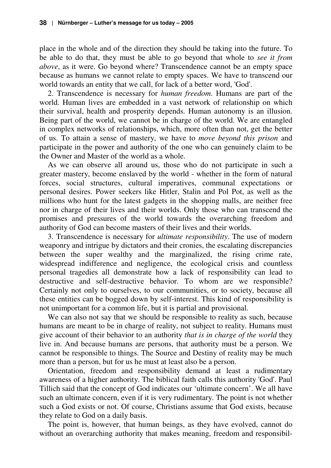place in the whole and of the direction they should be taking into the future. To be able to do that, they must be able to go beyond that whole to *see it from above*, as it were. Go beyond where? Transcendence cannot be an empty space because as humans we cannot relate to empty spaces. We have to transcend our world towards an entity that we call, for lack of a better word, 'God'.

2. Transcendence is necessary for *human freedom*. Humans are part of the world. Human lives are embedded in a vast network of relationship on which their survival, health and prosperity depends. Human autonomy is an illusion. Being part of the world, we cannot be in charge of the world. We are entangled in complex networks of relationships, which, more often than not, get the better of us. To attain a sense of mastery, we have to *move beyond this prison* and participate in the power and authority of the one who can genuinely claim to be the Owner and Master of the world as a whole.

As we can observe all around us, those who do not participate in such a greater mastery, become enslaved by the world - whether in the form of natural forces, social structures, cultural imperatives, communal expectations or personal desires. Power seekers like Hitler, Stalin and Pol Pot, as well as the millions who hunt for the latest gadgets in the shopping malls, are neither free nor in charge of their lives and their worlds. Only those who can transcend the promises and pressures of the world towards the overarching freedom and authority of God can become masters of their lives and their worlds.

3. Transcendence is necessary for *ultimate responsibility*. The use of modern weaponry and intrigue by dictators and their cronies, the escalating discrepancies between the super wealthy and the marginalized, the rising crime rate, widespread indifference and negligence, the ecological crisis and countless personal tragedies all demonstrate how a lack of responsibility can lead to destructive and self-destructive behavior. To whom are we responsible? Certainly not only to ourselves, to our communities, or to society, because all these entities can be bogged down by self-interest. This kind of responsibility is not unimportant for a common life, but it is partial and provisional.

We can also not say that we should be responsible to reality as such, because humans are meant to be in charge of reality, not subject to reality. Humans must give account of their behavior to an authority *that is in charge of the world* they live in. And because humans are persons, that authority must be a person. We cannot be responsible to things. The Source and Destiny of reality may be much more than a person, but for us he must at least also be a person.

Orientation, freedom and responsibility demand at least a rudimentary awareness of a higher authority. The biblical faith calls this authority 'God'. Paul Tillich said that the concept of God indicates our 'ultimate concern'. We all have such an ultimate concern, even if it is very rudimentary. The point is not whether such a God exists or not. Of course, Christians assume that God exists, because they relate to God on a daily basis.

The point is, however, that human beings, as they have evolved, cannot do without an overarching authority that makes meaning, freedom and responsibil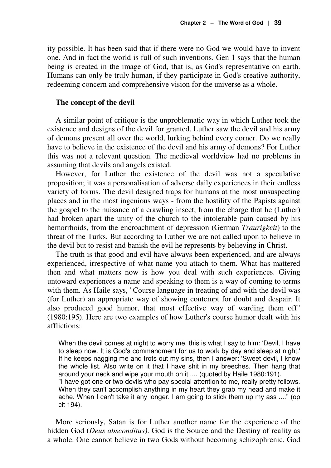ity possible. It has been said that if there were no God we would have to invent one. And in fact the world is full of such inventions. Gen 1 says that the human being is created in the image of God, that is, as God's representative on earth. Humans can only be truly human, if they participate in God's creative authority, redeeming concern and comprehensive vision for the universe as a whole.

#### **The concept of the devil**

A similar point of critique is the unproblematic way in which Luther took the existence and designs of the devil for granted. Luther saw the devil and his army of demons present all over the world, lurking behind every corner. Do we really have to believe in the existence of the devil and his army of demons? For Luther this was not a relevant question. The medieval worldview had no problems in assuming that devils and angels existed.

However, for Luther the existence of the devil was not a speculative proposition; it was a personalisation of adverse daily experiences in their endless variety of forms. The devil designed traps for humans at the most unsuspecting places and in the most ingenious ways - from the hostility of the Papists against the gospel to the nuisance of a crawling insect, from the charge that he (Luther) had broken apart the unity of the church to the intolerable pain caused by his hemorrhoids, from the encroachment of depression (German *Traurigkeit*) to the threat of the Turks. But according to Luther we are not called upon to believe in the devil but to resist and banish the evil he represents by believing in Christ.

The truth is that good and evil have always been experienced, and are always experienced, irrespective of what name you attach to them. What has mattered then and what matters now is how you deal with such experiences. Giving untoward experiences a name and speaking to them is a way of coming to terms with them. As Haile says, "Course language in treating of and with the devil was (for Luther) an appropriate way of showing contempt for doubt and despair. It also produced good humor, that most effective way of warding them off" (1980:195). Here are two examples of how Luther's course humor dealt with his afflictions:

When the devil comes at night to worry me, this is what I say to him: 'Devil, I have to sleep now. It is God's commandment for us to work by day and sleep at night.' If he keeps nagging me and trots out my sins, then I answer: 'Sweet devil, I know the whole list. Also write on it that I have shit in my breeches. Then hang that around your neck and wipe your mouth on it .... (quoted by Haile 1980:191). "I have got one or two devils who pay special attention to me, really pretty fellows. When they can't accomplish anything in my heart they grab my head and make it ache. When I can't take it any longer, I am going to stick them up my ass ...." (op cit 194).

More seriously, Satan is for Luther another name for the experience of the hidden God (*Deus absconditus)*. God is the Source and the Destiny of reality as a whole. One cannot believe in two Gods without becoming schizophrenic. God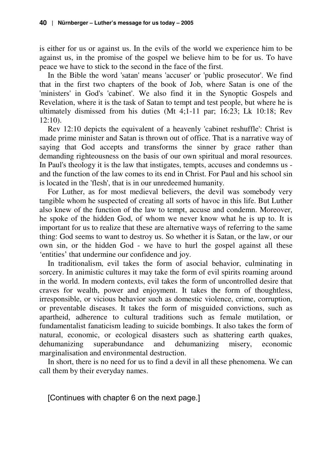is either for us or against us. In the evils of the world we experience him to be against us, in the promise of the gospel we believe him to be for us. To have peace we have to stick to the second in the face of the first.

In the Bible the word 'satan' means 'accuser' or 'public prosecutor'. We find that in the first two chapters of the book of Job, where Satan is one of the 'ministers' in God's 'cabinet'. We also find it in the Synoptic Gospels and Revelation, where it is the task of Satan to tempt and test people, but where he is ultimately dismissed from his duties (Mt 4;1-11 par; 16:23; Lk 10:18; Rev 12:10).

Rev 12:10 depicts the equivalent of a heavenly 'cabinet reshuffle': Christ is made prime minister and Satan is thrown out of office. That is a narrative way of saying that God accepts and transforms the sinner by grace rather than demanding righteousness on the basis of our own spiritual and moral resources. In Paul's theology it is the law that instigates, tempts, accuses and condemns us and the function of the law comes to its end in Christ. For Paul and his school sin is located in the 'flesh', that is in our unredeemed humanity.

For Luther, as for most medieval believers, the devil was somebody very tangible whom he suspected of creating all sorts of havoc in this life. But Luther also knew of the function of the law to tempt, accuse and condemn. Moreover, he spoke of the hidden God, of whom we never know what he is up to. It is important for us to realize that these are alternative ways of referring to the same thing: God seems to want to destroy us. So whether it is Satan, or the law, or our own sin, or the hidden God - we have to hurl the gospel against all these 'entities' that undermine our confidence and joy.

In traditionalism, evil takes the form of asocial behavior, culminating in sorcery. In animistic cultures it may take the form of evil spirits roaming around in the world. In modern contexts, evil takes the form of uncontrolled desire that craves for wealth, power and enjoyment. It takes the form of thoughtless, irresponsible, or vicious behavior such as domestic violence, crime, corruption, or preventable diseases. It takes the form of misguided convictions, such as apartheid, adherence to cultural traditions such as female mutilation, or fundamentalist fanaticism leading to suicide bombings. It also takes the form of natural, economic, or ecological disasters such as shattering earth quakes, dehumanizing superabundance and dehumanizing misery, economic marginalisation and environmental destruction.

In short, there is no need for us to find a devil in all these phenomena. We can call them by their everyday names.

[Continues with chapter 6 on the next page.]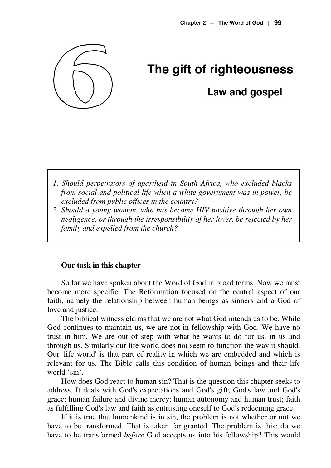

# **The gift of righteousness**

# **Law and gospel**

- *1. Should perpetrators of apartheid in South Africa, who excluded blacks from social and political life when a white government was in power, be excluded from public offices in the country?*
- *2. Should a young woman, who has become HIV positive through her own negligence, or through the irresponsibility of her lover, be rejected by her family and expelled from the church?*

#### **Our task in this chapter**

So far we have spoken about the Word of God in broad terms. Now we must become more specific. The Reformation focused on the central aspect of our faith, namely the relationship between human beings as sinners and a God of love and justice.

The biblical witness claims that we are not what God intends us to be. While God continues to maintain us, we are not in fellowship with God. We have no trust in him. We are out of step with what he wants to do for us, in us and through us. Similarly our life world does not seem to function the way it should. Our 'life world' is that part of reality in which we are embedded and which is relevant for us. The Bible calls this condition of human beings and their life world 'sin'.

How does God react to human sin? That is the question this chapter seeks to address. It deals with God's expectations and God's gift; God's law and God's grace; human failure and divine mercy; human autonomy and human trust; faith as fulfilling God's law and faith as entrusting oneself to God's redeeming grace.

If it is true that humankind is in sin, the problem is not whether or not we have to be transformed. That is taken for granted. The problem is this: do we have to be transformed *before* God accepts us into his fellowship? This would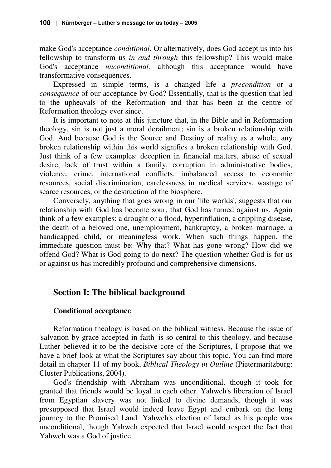make God's acceptance *conditional*. Or alternatively, does God accept us into his fellowship to transform us *in and through* this fellowship? This would make God's acceptance *unconditional,* although this acceptance would have transformative consequences.

Expressed in simple terms, is a changed life a *precondition* or a *consequence* of our acceptance by God? Essentially, that is the question that led to the upheavals of the Reformation and that has been at the centre of Reformation theology ever since.

It is important to note at this juncture that, in the Bible and in Reformation theology, sin is not just a moral derailment; sin is a broken relationship with God. And because God is the Source and Destiny of reality as a whole, any broken relationship within this world signifies a broken relationship with God. Just think of a few examples: deception in financial matters, abuse of sexual desire, lack of trust within a family, corruption in administrative bodies, violence, crime, international conflicts, imbalanced access to economic resources, social discrimination, carelessness in medical services, wastage of scarce resources, or the destruction of the biosphere.

Conversely, anything that goes wrong in our 'life worlds', suggests that our relationship with God has become sour, that God has turned against us. Again think of a few examples: a drought or a flood, hyperinflation, a crippling disease, the death of a beloved one, unemployment, bankruptcy, a broken marriage, a handicapped child, or meaningless work. When such things happen, the immediate question must be: Why that? What has gone wrong? How did we offend God? What is God going to do next? The question whether God is for us or against us has incredibly profound and comprehensive dimensions.

# **Section I: The biblical background**

# **Conditional acceptance**

Reformation theology is based on the biblical witness. Because the issue of 'salvation by grace accepted in faith' is so central to this theology, and because Luther believed it to be the decisive core of the Scriptures, I propose that we have a brief look at what the Scriptures say about this topic. You can find more detail in chapter 11 of my book, *Biblical Theology in Outline* (Pietermaritzburg: Cluster Publications, 2004).

God's friendship with Abraham was unconditional, though it took for granted that friends would be loyal to each other. Yahweh's liberation of Israel from Egyptian slavery was not linked to divine demands, though it was presupposed that Israel would indeed leave Egypt and embark on the long journey to the Promised Land. Yahweh's election of Israel as his people was unconditional, though Yahweh expected that Israel would respect the fact that Yahweh was a God of justice.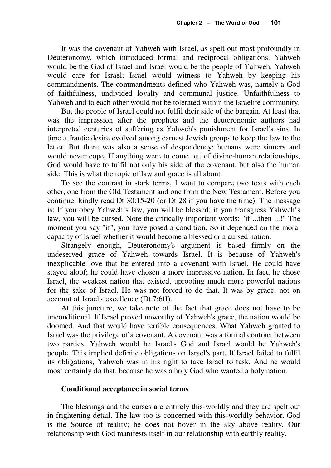It was the covenant of Yahweh with Israel, as spelt out most profoundly in Deuteronomy, which introduced formal and reciprocal obligations. Yahweh would be the God of Israel and Israel would be the people of Yahweh. Yahweh would care for Israel; Israel would witness to Yahweh by keeping his commandments. The commandments defined who Yahweh was, namely a God of faithfulness, undivided loyalty and communal justice. Unfaithfulness to Yahweh and to each other would not be tolerated within the Israelite community.

But the people of Israel could not fulfil their side of the bargain. At least that was the impression after the prophets and the deuteronomic authors had interpreted centuries of suffering as Yahweh's punishment for Israel's sins. In time a frantic desire evolved among earnest Jewish groups to keep the law to the letter. But there was also a sense of despondency: humans were sinners and would never cope. If anything were to come out of divine-human relationships, God would have to fulfil not only his side of the covenant, but also the human side. This is what the topic of law and grace is all about.

To see the contrast in stark terms, I want to compare two texts with each other, one from the Old Testament and one from the New Testament. Before you continue, kindly read Dt 30:15-20 (or Dt 28 if you have the time). The message is: If you obey Yahweh's law, you will be blessed; if you transgress Yahweh's law, you will be cursed. Note the critically important words: "if ...then ...!" The moment you say "if", you have posed a condition. So it depended on the moral capacity of Israel whether it would become a blessed or a cursed nation.

Strangely enough, Deuteronomy's argument is based firmly on the undeserved grace of Yahweh towards Israel. It is because of Yahweh's inexplicable love that he entered into a covenant with Israel. He could have stayed aloof; he could have chosen a more impressive nation. In fact, he chose Israel, the weakest nation that existed, uprooting much more powerful nations for the sake of Israel. He was not forced to do that. It was by grace, not on account of Israel's excellence (Dt 7:6ff).

At this juncture, we take note of the fact that grace does not have to be unconditional. If Israel proved unworthy of Yahweh's grace, the nation would be doomed. And that would have terrible consequences. What Yahweh granted to Israel was the privilege of a covenant. A covenant was a formal contract between two parties. Yahweh would be Israel's God and Israel would be Yahweh's people. This implied definite obligations on Israel's part. If Israel failed to fulfil its obligations, Yahweh was in his right to take Israel to task. And he would most certainly do that, because he was a holy God who wanted a holy nation.

#### **Conditional acceptance in social terms**

The blessings and the curses are entirely this-worldly and they are spelt out in frightening detail. The law too is concerned with this-worldly behavior. God is the Source of reality; he does not hover in the sky above reality. Our relationship with God manifests itself in our relationship with earthly reality.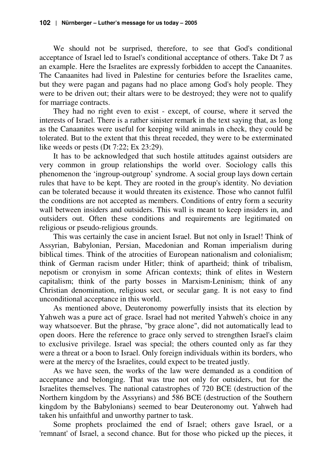We should not be surprised, therefore, to see that God's conditional acceptance of Israel led to Israel's conditional acceptance of others. Take Dt 7 as an example. Here the Israelites are expressly forbidden to accept the Canaanites. The Canaanites had lived in Palestine for centuries before the Israelites came, but they were pagan and pagans had no place among God's holy people. They were to be driven out; their altars were to be destroyed; they were not to qualify for marriage contracts.

They had no right even to exist - except, of course, where it served the interests of Israel. There is a rather sinister remark in the text saying that, as long as the Canaanites were useful for keeping wild animals in check, they could be tolerated. But to the extent that this threat receded, they were to be exterminated like weeds or pests (Dt 7:22; Ex 23:29).

It has to be acknowledged that such hostile attitudes against outsiders are very common in group relationships the world over. Sociology calls this phenomenon the 'ingroup-outgroup' syndrome. A social group lays down certain rules that have to be kept. They are rooted in the group's identity. No deviation can be tolerated because it would threaten its existence. Those who cannot fulfil the conditions are not accepted as members. Conditions of entry form a security wall between insiders and outsiders. This wall is meant to keep insiders in, and outsiders out. Often these conditions and requirements are legitimated on religious or pseudo-religious grounds.

This was certainly the case in ancient Israel. But not only in Israel! Think of Assyrian, Babylonian, Persian, Macedonian and Roman imperialism during biblical times. Think of the atrocities of European nationalism and colonialism; think of German racism under Hitler; think of apartheid; think of tribalism, nepotism or cronyism in some African contexts; think of elites in Western capitalism; think of the party bosses in Marxism-Leninism; think of any Christian denomination, religious sect, or secular gang. It is not easy to find unconditional acceptance in this world.

As mentioned above, Deuteronomy powerfully insists that its election by Yahweh was a pure act of grace. Israel had not merited Yahweh's choice in any way whatsoever. But the phrase, "by grace alone", did not automatically lead to open doors. Here the reference to grace only served to strengthen Israel's claim to exclusive privilege. Israel was special; the others counted only as far they were a threat or a boon to Israel. Only foreign individuals within its borders, who were at the mercy of the Israelites, could expect to be treated justly.

As we have seen, the works of the law were demanded as a condition of acceptance and belonging. That was true not only for outsiders, but for the Israelites themselves. The national catastrophes of 720 BCE (destruction of the Northern kingdom by the Assyrians) and 586 BCE (destruction of the Southern kingdom by the Babylonians) seemed to bear Deuteronomy out. Yahweh had taken his unfaithful and unworthy partner to task.

Some prophets proclaimed the end of Israel; others gave Israel, or a 'remnant' of Israel, a second chance. But for those who picked up the pieces, it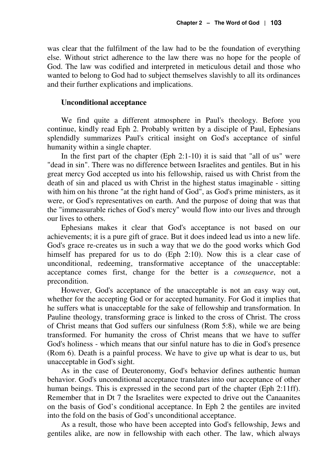was clear that the fulfilment of the law had to be the foundation of everything else. Without strict adherence to the law there was no hope for the people of God. The law was codified and interpreted in meticulous detail and those who wanted to belong to God had to subject themselves slavishly to all its ordinances and their further explications and implications.

#### **Unconditional acceptance**

We find quite a different atmosphere in Paul's theology. Before you continue, kindly read Eph 2. Probably written by a disciple of Paul, Ephesians splendidly summarizes Paul's critical insight on God's acceptance of sinful humanity within a single chapter.

In the first part of the chapter (Eph 2:1-10) it is said that "all of us" were "dead in sin". There was no difference between Israelites and gentiles. But in his great mercy God accepted us into his fellowship, raised us with Christ from the death of sin and placed us with Christ in the highest status imaginable - sitting with him on his throne "at the right hand of God", as God's prime ministers, as it were, or God's representatives on earth. And the purpose of doing that was that the "immeasurable riches of God's mercy" would flow into our lives and through our lives to others.

Ephesians makes it clear that God's acceptance is not based on our achievements; it is a pure gift of grace. But it does indeed lead us into a new life. God's grace re-creates us in such a way that we do the good works which God himself has prepared for us to do (Eph 2:10). Now this is a clear case of unconditional, redeeming, transformative acceptance of the unacceptable: acceptance comes first, change for the better is a *consequence*, not a precondition.

However, God's acceptance of the unacceptable is not an easy way out, whether for the accepting God or for accepted humanity. For God it implies that he suffers what is unacceptable for the sake of fellowship and transformation. In Pauline theology, transforming grace is linked to the cross of Christ. The cross of Christ means that God suffers our sinfulness (Rom 5:8), while we are being transformed. For humanity the cross of Christ means that we have to suffer God's holiness - which means that our sinful nature has to die in God's presence (Rom 6). Death is a painful process. We have to give up what is dear to us, but unacceptable in God's sight.

As in the case of Deuteronomy, God's behavior defines authentic human behavior. God's unconditional acceptance translates into our acceptance of other human beings. This is expressed in the second part of the chapter (Eph 2:11ff). Remember that in Dt 7 the Israelites were expected to drive out the Canaanites on the basis of God's conditional acceptance. In Eph 2 the gentiles are invited into the fold on the basis of God's unconditional acceptance.

As a result, those who have been accepted into God's fellowship, Jews and gentiles alike, are now in fellowship with each other. The law, which always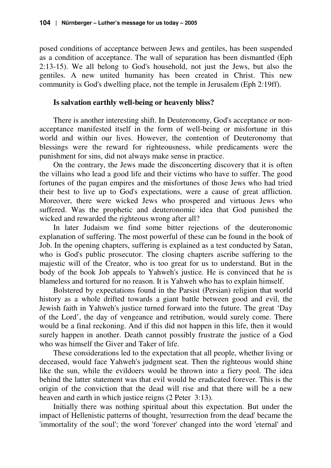posed conditions of acceptance between Jews and gentiles, has been suspended as a condition of acceptance. The wall of separation has been dismantled (Eph 2:13-15). We all belong to God's household, not just the Jews, but also the gentiles. A new united humanity has been created in Christ. This new community is God's dwelling place, not the temple in Jerusalem (Eph 2:19ff).

#### **Is salvation earthly well-being or heavenly bliss?**

There is another interesting shift. In Deuteronomy, God's acceptance or nonacceptance manifested itself in the form of well-being or misfortune in this world and within our lives. However, the contention of Deuteronomy that blessings were the reward for righteousness, while predicaments were the punishment for sins, did not always make sense in practice.

On the contrary, the Jews made the disconcerting discovery that it is often the villains who lead a good life and their victims who have to suffer. The good fortunes of the pagan empires and the misfortunes of those Jews who had tried their best to live up to God's expectations, were a cause of great affliction. Moreover, there were wicked Jews who prospered and virtuous Jews who suffered. Was the prophetic and deuteronomic idea that God punished the wicked and rewarded the righteous wrong after all?

In later Judaism we find some bitter rejections of the deuteronomic explanation of suffering. The most powerful of these can be found in the book of Job. In the opening chapters, suffering is explained as a test conducted by Satan, who is God's public prosecutor. The closing chapters ascribe suffering to the majestic will of the Creator, who is too great for us to understand. But in the body of the book Job appeals to Yahweh's justice. He is convinced that he is blameless and tortured for no reason. It is Yahweh who has to explain himself.

Bolstered by expectations found in the Parsist (Persian) religion that world history as a whole drifted towards a giant battle between good and evil, the Jewish faith in Yahweh's justice turned forward into the future. The great 'Day of the Lord', the day of vengeance and retribution, would surely come. There would be a final reckoning. And if this did not happen in this life, then it would surely happen in another. Death cannot possibly frustrate the justice of a God who was himself the Giver and Taker of life.

These considerations led to the expectation that all people, whether living or deceased, would face Yahweh's judgment seat. Then the righteous would shine like the sun, while the evildoers would be thrown into a fiery pool. The idea behind the latter statement was that evil would be eradicated forever. This is the origin of the conviction that the dead will rise and that there will be a new heaven and earth in which justice reigns (2 Peter 3:13).

Initially there was nothing spiritual about this expectation. But under the impact of Hellenistic patterns of thought, 'resurrection from the dead' became the 'immortality of the soul'; the word 'forever' changed into the word 'eternal' and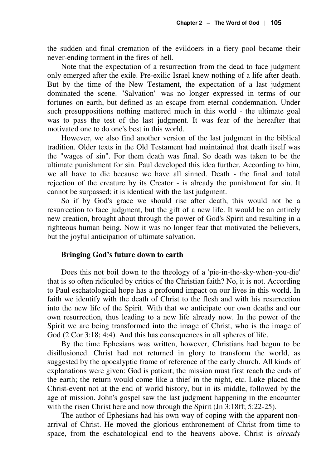the sudden and final cremation of the evildoers in a fiery pool became their never-ending torment in the fires of hell.

Note that the expectation of a resurrection from the dead to face judgment only emerged after the exile. Pre-exilic Israel knew nothing of a life after death. But by the time of the New Testament, the expectation of a last judgment dominated the scene. "Salvation" was no longer expressed in terms of our fortunes on earth, but defined as an escape from eternal condemnation. Under such presuppositions nothing mattered much in this world - the ultimate goal was to pass the test of the last judgment. It was fear of the hereafter that motivated one to do one's best in this world.

However, we also find another version of the last judgment in the biblical tradition. Older texts in the Old Testament had maintained that death itself was the "wages of sin". For them death was final. So death was taken to be the ultimate punishment for sin. Paul developed this idea further. According to him, we all have to die because we have all sinned. Death - the final and total rejection of the creature by its Creator - is already the punishment for sin. It cannot be surpassed; it is identical with the last judgment.

So if by God's grace we should rise after death, this would not be a resurrection to face judgment, but the gift of a new life. It would be an entirely new creation, brought about through the power of God's Spirit and resulting in a righteous human being. Now it was no longer fear that motivated the believers, but the joyful anticipation of ultimate salvation.

#### **Bringing God's future down to earth**

Does this not boil down to the theology of a 'pie-in-the-sky-when-you-die' that is so often ridiculed by critics of the Christian faith? No, it is not. According to Paul eschatological hope has a profound impact on our lives in this world. In faith we identify with the death of Christ to the flesh and with his resurrection into the new life of the Spirit. With that we anticipate our own deaths and our own resurrection, thus leading to a new life already now. In the power of the Spirit we are being transformed into the image of Christ, who is the image of God (2 Cor 3:18; 4:4). And this has consequences in all spheres of life.

By the time Ephesians was written, however, Christians had begun to be disillusioned. Christ had not returned in glory to transform the world, as suggested by the apocalyptic frame of reference of the early church. All kinds of explanations were given: God is patient; the mission must first reach the ends of the earth; the return would come like a thief in the night, etc. Luke placed the Christ-event not at the end of world history, but in its middle, followed by the age of mission. John's gospel saw the last judgment happening in the encounter with the risen Christ here and now through the Spirit (Jn 3:18ff; 5:22-25).

The author of Ephesians had his own way of coping with the apparent nonarrival of Christ. He moved the glorious enthronement of Christ from time to space, from the eschatological end to the heavens above. Christ is *already*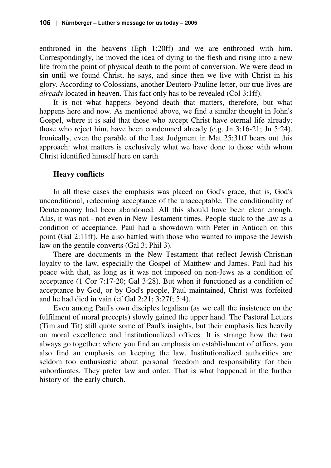enthroned in the heavens (Eph 1:20ff) and we are enthroned with him. Correspondingly, he moved the idea of dying to the flesh and rising into a new life from the point of physical death to the point of conversion. We were dead in sin until we found Christ, he says, and since then we live with Christ in his glory. According to Colossians, another Deutero-Pauline letter, our true lives are *already* located in heaven. This fact only has to be revealed (Col 3:1ff).

It is not what happens beyond death that matters, therefore, but what happens here and now. As mentioned above, we find a similar thought in John's Gospel, where it is said that those who accept Christ have eternal life already; those who reject him, have been condemned already (e.g. Jn 3:16-21; Jn 5:24). Ironically, even the parable of the Last Judgment in Mat 25:31ff bears out this approach: what matters is exclusively what we have done to those with whom Christ identified himself here on earth.

#### **Heavy conflicts**

In all these cases the emphasis was placed on God's grace, that is, God's unconditional, redeeming acceptance of the unacceptable. The conditionality of Deuteronomy had been abandoned. All this should have been clear enough. Alas, it was not - not even in New Testament times. People stuck to the law as a condition of acceptance. Paul had a showdown with Peter in Antioch on this point (Gal 2:11ff). He also battled with those who wanted to impose the Jewish law on the gentile converts (Gal 3; Phil 3).

There are documents in the New Testament that reflect Jewish-Christian loyalty to the law, especially the Gospel of Matthew and James. Paul had his peace with that, as long as it was not imposed on non-Jews as a condition of acceptance (1 Cor 7:17-20; Gal 3:28). But when it functioned as a condition of acceptance by God, or by God's people, Paul maintained, Christ was forfeited and he had died in vain (cf Gal 2:21; 3:27f; 5:4).

Even among Paul's own disciples legalism (as we call the insistence on the fulfilment of moral precepts) slowly gained the upper hand. The Pastoral Letters (Tim and Tit) still quote some of Paul's insights, but their emphasis lies heavily on moral excellence and institutionalized offices. It is strange how the two always go together: where you find an emphasis on establishment of offices, you also find an emphasis on keeping the law. Institutionalized authorities are seldom too enthusiastic about personal freedom and responsibility for their subordinates. They prefer law and order. That is what happened in the further history of the early church.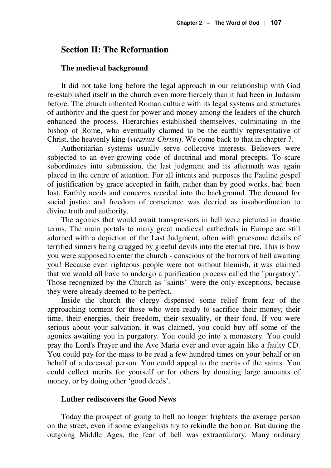#### **Section II: The Reformation**

#### **The medieval background**

It did not take long before the legal approach in our relationship with God re-established itself in the church even more fiercely than it had been in Judaism before. The church inherited Roman culture with its legal systems and structures of authority and the quest for power and money among the leaders of the church enhanced the process. Hierarchies established themselves, culminating in the bishop of Rome, who eventually claimed to be the earthly representative of Christ, the heavenly king (*vicarius Christi*). We come back to that in chapter 7.

Authoritarian systems usually serve collective interests. Believers were subjected to an ever-growing code of doctrinal and moral precepts. To scare subordinates into submission, the last judgment and its aftermath was again placed in the centre of attention. For all intents and purposes the Pauline gospel of justification by grace accepted in faith, rather than by good works, had been lost. Earthly needs and concerns receded into the background. The demand for social justice and freedom of conscience was decried as insubordination to divine truth and authority.

The agonies that would await transgressors in hell were pictured in drastic terms. The main portals to many great medieval cathedrals in Europe are still adorned with a depiction of the Last Judgment, often with gruesome details of terrified sinners being dragged by gleeful devils into the eternal fire. This is how you were supposed to enter the church - conscious of the horrors of hell awaiting you! Because even righteous people were not without blemish, it was claimed that we would all have to undergo a purification process called the "purgatory". Those recognized by the Church as "saints" were the only exceptions, because they were already deemed to be perfect.

Inside the church the clergy dispensed some relief from fear of the approaching torment for those who were ready to sacrifice their money, their time, their energies, their freedom, their sexuality, or their food. If you were serious about your salvation, it was claimed, you could buy off some of the agonies awaiting you in purgatory. You could go into a monastery. You could pray the Lord's Prayer and the Ave Maria over and over again like a faulty CD. You could pay for the mass to be read a few hundred times on your behalf or on behalf of a deceased person. You could appeal to the merits of the saints. You could collect merits for yourself or for others by donating large amounts of money, or by doing other 'good deeds'.

#### **Luther rediscovers the Good News**

Today the prospect of going to hell no longer frightens the average person on the street, even if some evangelists try to rekindle the horror. But during the outgoing Middle Ages, the fear of hell was extraordinary. Many ordinary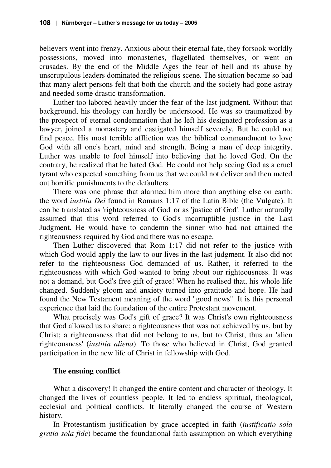believers went into frenzy. Anxious about their eternal fate, they forsook worldly possessions, moved into monasteries, flagellated themselves, or went on crusades. By the end of the Middle Ages the fear of hell and its abuse by unscrupulous leaders dominated the religious scene. The situation became so bad that many alert persons felt that both the church and the society had gone astray and needed some drastic transformation.

Luther too labored heavily under the fear of the last judgment. Without that background, his theology can hardly be understood. He was so traumatized by the prospect of eternal condemnation that he left his designated profession as a lawyer, joined a monastery and castigated himself severely. But he could not find peace. His most terrible affliction was the biblical commandment to love God with all one's heart, mind and strength. Being a man of deep integrity, Luther was unable to fool himself into believing that he loved God. On the contrary, he realized that he hated God. He could not help seeing God as a cruel tyrant who expected something from us that we could not deliver and then meted out horrific punishments to the defaulters.

There was one phrase that alarmed him more than anything else on earth: the word *iustitia Dei* found in Romans 1:17 of the Latin Bible (the Vulgate). It can be translated as 'righteousness of God' or as 'justice of God'. Luther naturally assumed that this word referred to God's incorruptible justice in the Last Judgment. He would have to condemn the sinner who had not attained the righteousness required by God and there was no escape.

Then Luther discovered that Rom 1:17 did not refer to the justice with which God would apply the law to our lives in the last judgment. It also did not refer to the righteousness God demanded of us. Rather, it referred to the righteousness with which God wanted to bring about our righteousness. It was not a demand, but God's free gift of grace! When he realised that, his whole life changed. Suddenly gloom and anxiety turned into gratitude and hope. He had found the New Testament meaning of the word "good news". It is this personal experience that laid the foundation of the entire Protestant movement.

What precisely was God's gift of grace? It was Christ's own righteousness that God allowed us to share; a righteousness that was not achieved by us, but by Christ; a righteousness that did not belong to us, but to Christ, thus an 'alien righteousness' (*iustitia aliena*). To those who believed in Christ, God granted participation in the new life of Christ in fellowship with God.

# **The ensuing conflict**

What a discovery! It changed the entire content and character of theology. It changed the lives of countless people. It led to endless spiritual, theological, ecclesial and political conflicts. It literally changed the course of Western history.

In Protestantism justification by grace accepted in faith (*iustificatio sola gratia sola fide*) became the foundational faith assumption on which everything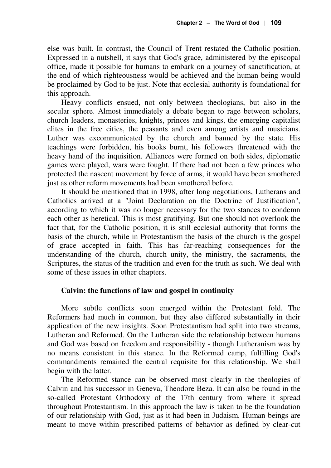else was built. In contrast, the Council of Trent restated the Catholic position. Expressed in a nutshell, it says that God's grace, administered by the episcopal office, made it possible for humans to embark on a journey of sanctification, at the end of which righteousness would be achieved and the human being would be proclaimed by God to be just. Note that ecclesial authority is foundational for this approach.

Heavy conflicts ensued, not only between theologians, but also in the secular sphere. Almost immediately a debate began to rage between scholars, church leaders, monasteries, knights, princes and kings, the emerging capitalist elites in the free cities, the peasants and even among artists and musicians. Luther was excommunicated by the church and banned by the state. His teachings were forbidden, his books burnt, his followers threatened with the heavy hand of the inquisition. Alliances were formed on both sides, diplomatic games were played, wars were fought. If there had not been a few princes who protected the nascent movement by force of arms, it would have been smothered just as other reform movements had been smothered before.

It should be mentioned that in 1998, after long negotiations, Lutherans and Catholics arrived at a "Joint Declaration on the Doctrine of Justification", according to which it was no longer necessary for the two stances to condemn each other as heretical. This is most gratifying. But one should not overlook the fact that, for the Catholic position, it is still ecclesial authority that forms the basis of the church, while in Protestantism the basis of the church is the gospel of grace accepted in faith. This has far-reaching consequences for the understanding of the church, church unity, the ministry, the sacraments, the Scriptures, the status of the tradition and even for the truth as such. We deal with some of these issues in other chapters.

#### **Calvin: the functions of law and gospel in continuity**

More subtle conflicts soon emerged within the Protestant fold. The Reformers had much in common, but they also differed substantially in their application of the new insights. Soon Protestantism had split into two streams, Lutheran and Reformed. On the Lutheran side the relationship between humans and God was based on freedom and responsibility - though Lutheranism was by no means consistent in this stance. In the Reformed camp, fulfilling God's commandments remained the central requisite for this relationship. We shall begin with the latter.

The Reformed stance can be observed most clearly in the theologies of Calvin and his successor in Geneva, Theodore Beza. It can also be found in the so-called Protestant Orthodoxy of the 17th century from where it spread throughout Protestantism. In this approach the law is taken to be the foundation of our relationship with God, just as it had been in Judaism. Human beings are meant to move within prescribed patterns of behavior as defined by clear-cut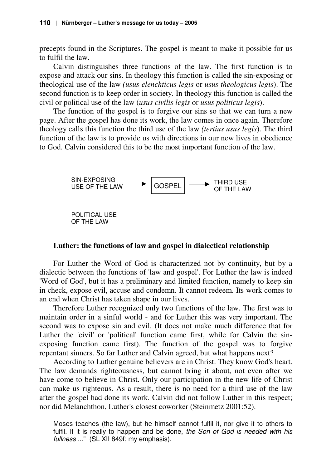precepts found in the Scriptures. The gospel is meant to make it possible for us to fulfil the law.

Calvin distinguishes three functions of the law. The first function is to expose and attack our sins. In theology this function is called the sin-exposing or theological use of the law *(usus elenchticus legis* or *usus theologicus legis*). The second function is to keep order in society. In theology this function is called the civil or political use of the law (*usus civilis legis* or *usus politicus legis*).

The function of the gospel is to forgive our sins so that we can turn a new page. After the gospel has done its work, the law comes in once again. Therefore theology calls this function the third use of the law *(tertius usus legis*). The third function of the law is to provide us with directions in our new lives in obedience to God. Calvin considered this to be the most important function of the law.



#### **Luther: the functions of law and gospel in dialectical relationship**

For Luther the Word of God is characterized not by continuity, but by a dialectic between the functions of 'law and gospel'. For Luther the law is indeed 'Word of God', but it has a preliminary and limited function, namely to keep sin in check, expose evil, accuse and condemn. It cannot redeem. Its work comes to an end when Christ has taken shape in our lives.

Therefore Luther recognized only two functions of the law. The first was to maintain order in a sinful world - and for Luther this was very important. The second was to expose sin and evil. (It does not make much difference that for Luther the 'civil' or 'political' function came first, while for Calvin the sinexposing function came first). The function of the gospel was to forgive repentant sinners. So far Luther and Calvin agreed, but what happens next?

According to Luther genuine believers are in Christ. They know God's heart. The law demands righteousness, but cannot bring it about, not even after we have come to believe in Christ. Only our participation in the new life of Christ can make us righteous. As a result, there is no need for a third use of the law after the gospel had done its work. Calvin did not follow Luther in this respect; nor did Melanchthon, Luther's closest coworker (Steinmetz 2001:52).

Moses teaches (the law), but he himself cannot fulfil it, nor give it to others to fulfil. If it is really to happen and be done, the Son of God is needed with his fullness ..." (SL XII 849f; my emphasis).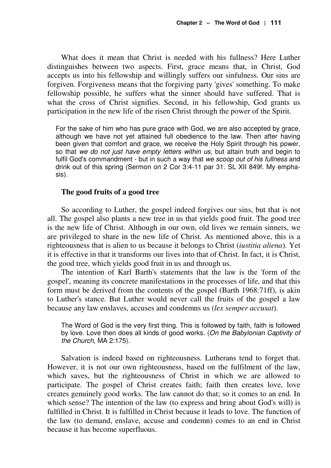What does it mean that Christ is needed with his fullness? Here Luther distinguishes between two aspects. First, grace means that, in Christ, God accepts us into his fellowship and willingly suffers our sinfulness. Our sins are forgiven. Forgiveness means that the forgiving party 'gives' something. To make fellowship possible, he suffers what the sinner should have suffered. That is what the cross of Christ signifies. Second, in his fellowship, God grants us participation in the new life of the risen Christ through the power of the Spirit.

For the sake of him who has pure grace with God, we are also accepted by grace, although we have not yet attained full obedience to the law. Then after having been given that comfort and grace, we receive the Holy Spirit through his power, so that we do not just have empty letters within us, but attain truth and begin to fulfil God's commandment - but in such a way that we scoop out of his fullness and drink out of this spring (Sermon on 2 Cor 3:4-11 par 31. SL XII 849f. My emphasis).

#### **The good fruits of a good tree**

So according to Luther, the gospel indeed forgives our sins, but that is not all. The gospel also plants a new tree in us that yields good fruit. The good tree is the new life of Christ. Although in our own, old lives we remain sinners, we are privileged to share in the new life of Christ. As mentioned above, this is a righteousness that is alien to us because it belongs to Christ (*iustitia aliena*). Yet it is effective in that it transforms our lives into that of Christ. In fact, it is Christ, the good tree, which yields good fruit in us and through us.

The intention of Karl Barth's statements that the law is the 'form of the gospel', meaning its concrete manifestations in the processes of life, and that this form must be derived from the contents of the gospel (Barth 1968:71ff), is akin to Luther's stance. But Luther would never call the fruits of the gospel a law because any law enslaves, accuses and condemns us (*lex semper accusat*).

The Word of God is the very first thing. This is followed by faith, faith is followed by love. Love then does all kinds of good works. (On the Babylonian Captivity of the Church, MA 2:175).

Salvation is indeed based on righteousness. Lutherans tend to forget that. However, it is not our own righteousness, based on the fulfilment of the law, which saves, but the righteousness of Christ in which we are allowed to participate. The gospel of Christ creates faith; faith then creates love, love creates genuinely good works. The law cannot do that; so it comes to an end. In which sense? The intention of the law (to express and bring about God's will) is fulfilled in Christ. It is fulfilled in Christ because it leads to love. The function of the law (to demand, enslave, accuse and condemn) comes to an end in Christ because it has become superfluous.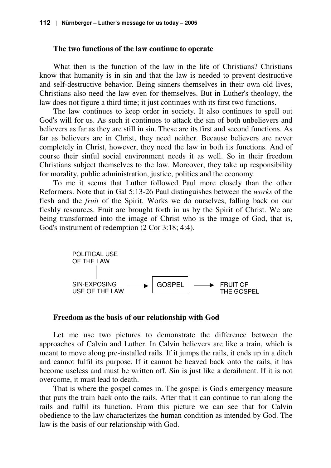#### **The two functions of the law continue to operate**

What then is the function of the law in the life of Christians? Christians know that humanity is in sin and that the law is needed to prevent destructive and self-destructive behavior. Being sinners themselves in their own old lives, Christians also need the law even for themselves. But in Luther's theology, the law does not figure a third time; it just continues with its first two functions.

The law continues to keep order in society. It also continues to spell out God's will for us. As such it continues to attack the sin of both unbelievers and believers as far as they are still in sin. These are its first and second functions. As far as believers are in Christ, they need neither. Because believers are never completely in Christ, however, they need the law in both its functions. And of course their sinful social environment needs it as well. So in their freedom Christians subject themselves to the law. Moreover, they take up responsibility for morality, public administration, justice, politics and the economy.

To me it seems that Luther followed Paul more closely than the other Reformers. Note that in Gal 5:13-26 Paul distinguishes between the *works* of the flesh and the *fruit* of the Spirit. Works we do ourselves, falling back on our fleshly resources. Fruit are brought forth in us by the Spirit of Christ. We are being transformed into the image of Christ who is the image of God, that is, God's instrument of redemption (2 Cor 3:18; 4:4).



#### **Freedom as the basis of our relationship with God**

Let me use two pictures to demonstrate the difference between the approaches of Calvin and Luther. In Calvin believers are like a train, which is meant to move along pre-installed rails. If it jumps the rails, it ends up in a ditch and cannot fulfil its purpose. If it cannot be heaved back onto the rails, it has become useless and must be written off. Sin is just like a derailment. If it is not overcome, it must lead to death.

That is where the gospel comes in. The gospel is God's emergency measure that puts the train back onto the rails. After that it can continue to run along the rails and fulfil its function. From this picture we can see that for Calvin obedience to the law characterizes the human condition as intended by God. The law is the basis of our relationship with God.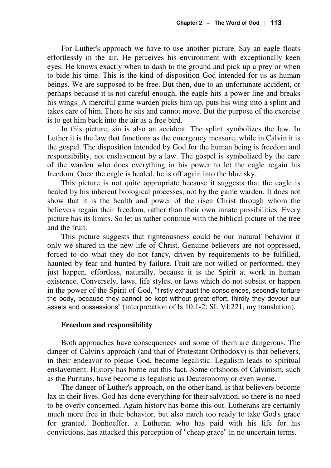For Luther's approach we have to use another picture. Say an eagle floats effortlessly in the air. He perceives his environment with exceptionally keen eyes. He knows exactly when to dash to the ground and pick up a prey or when to bide his time. This is the kind of disposition God intended for us as human beings. We are supposed to be free. But then, due to an unfortunate accident, or perhaps because it is not careful enough, the eagle hits a power line and breaks his wings. A merciful game warden picks him up, puts his wing into a splint and takes care of him. There he sits and cannot move. But the purpose of the exercise is to get him back into the air as a free bird.

In this picture, sin is also an accident. The splint symbolizes the law. In Luther it is the law that functions as the emergency measure, while in Calvin it is the gospel. The disposition intended by God for the human being is freedom and responsibility, not enslavement by a law. The gospel is symbolized by the care of the warden who does everything in his power to let the eagle regain his freedom. Once the eagle is healed, he is off again into the blue sky.

This picture is not quite appropriate because it suggests that the eagle is healed by his inherent biological processes, not by the game warden. It does not show that it is the health and power of the risen Christ through whom the believers regain their freedom, rather than their own innate possibilities. Every picture has its limits. So let us rather continue with the biblical picture of the tree and the fruit.

This picture suggests that righteousness could be our 'natural' behavior if only we shared in the new life of Christ. Genuine believers are not oppressed, forced to do what they do not fancy, driven by requirements to be fulfilled, haunted by fear and hunted by failure. Fruit are not willed or performed, they just happen, effortless, naturally, because it is the Spirit at work in human existence. Conversely, laws, life styles, or laws which do not subsist or happen in the power of the Spirit of God, "firstly exhaust the consciences, secondly torture the body, because they cannot be kept without great effort, thirdly they devour our assets and possessions" (interpretation of Is 10:1-2; SL VI:221, my translation).

#### **Freedom and responsibility**

Both approaches have consequences and some of them are dangerous. The danger of Calvin's approach (and that of Protestant Orthodoxy) is that believers, in their endeavor to please God, become legalistic. Legalism leads to spiritual enslavement. History has borne out this fact. Some offshoots of Calvinism, such as the Puritans, have become as legalistic as Deuteronomy or even worse.

The danger of Luther's approach, on the other hand, is that believers become lax in their lives. God has done everything for their salvation, so there is no need to be overly concerned. Again history has borne this out. Lutherans are certainly much more free in their behavior, but also much too ready to take God's grace for granted. Bonhoeffer, a Lutheran who has paid with his life for his convictions, has attacked this perception of "cheap grace" in no uncertain terms.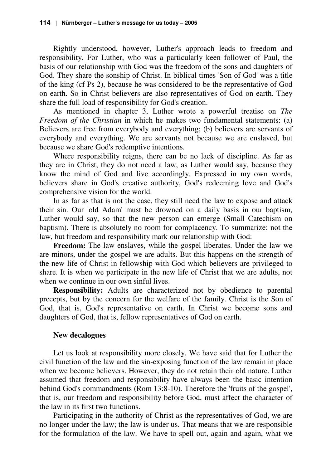Rightly understood, however, Luther's approach leads to freedom and responsibility. For Luther, who was a particularly keen follower of Paul, the basis of our relationship with God was the freedom of the sons and daughters of God. They share the sonship of Christ. In biblical times 'Son of God' was a title of the king (cf Ps 2), because he was considered to be the representative of God on earth. So in Christ believers are also representatives of God on earth. They share the full load of responsibility for God's creation.

As mentioned in chapter 3, Luther wrote a powerful treatise on *The Freedom of the Christian* in which he makes two fundamental statements: (a) Believers are free from everybody and everything; (b) believers are servants of everybody and everything. We are servants not because we are enslaved, but because we share God's redemptive intentions.

Where responsibility reigns, there can be no lack of discipline. As far as they are in Christ, they do not need a law, as Luther would say, because they know the mind of God and live accordingly. Expressed in my own words, believers share in God's creative authority, God's redeeming love and God's comprehensive vision for the world.

In as far as that is not the case, they still need the law to expose and attack their sin. Our 'old Adam' must be drowned on a daily basis in our baptism, Luther would say, so that the new person can emerge (Small Catechism on baptism). There is absolutely no room for complacency. To summarize: not the law, but freedom and responsibility mark our relationship with God:

**Freedom:** The law enslaves, while the gospel liberates. Under the law we are minors, under the gospel we are adults. But this happens on the strength of the new life of Christ in fellowship with God which believers are privileged to share. It is when we participate in the new life of Christ that we are adults, not when we continue in our own sinful lives.

**Responsibility:** Adults are characterized not by obedience to parental precepts, but by the concern for the welfare of the family. Christ is the Son of God, that is, God's representative on earth. In Christ we become sons and daughters of God, that is, fellow representatives of God on earth.

#### **New decalogues**

Let us look at responsibility more closely. We have said that for Luther the civil function of the law and the sin-exposing function of the law remain in place when we become believers. However, they do not retain their old nature. Luther assumed that freedom and responsibility have always been the basic intention behind God's commandments (Rom 13:8-10). Therefore the 'fruits of the gospel', that is, our freedom and responsibility before God, must affect the character of the law in its first two functions.

Participating in the authority of Christ as the representatives of God, we are no longer under the law; the law is under us. That means that we are responsible for the formulation of the law. We have to spell out, again and again, what we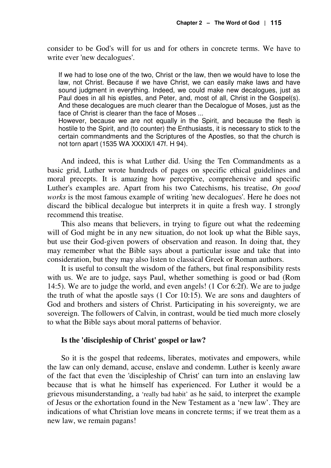consider to be God's will for us and for others in concrete terms. We have to write ever 'new decalogues'.

If we had to lose one of the two, Christ or the law, then we would have to lose the law, not Christ. Because if we have Christ, we can easily make laws and have sound judgment in everything. Indeed, we could make new decalogues, just as Paul does in all his epistles, and Peter, and, most of all, Christ in the Gospel(s). And these decalogues are much clearer than the Decalogue of Moses, just as the face of Christ is clearer than the face of Moses ...

However, because we are not equally in the Spirit, and because the flesh is hostile to the Spirit, and (to counter) the Enthusiasts, it is necessary to stick to the certain commandments and the Scriptures of the Apostles, so that the church is not torn apart (1535 WA XXXIX/I 47f. H 94).

And indeed, this is what Luther did. Using the Ten Commandments as a basic grid, Luther wrote hundreds of pages on specific ethical guidelines and moral precepts. It is amazing how perceptive, comprehensive and specific Luther's examples are. Apart from his two Catechisms, his treatise, *On good works* is the most famous example of writing 'new decalogues'. Here he does not discard the biblical decalogue but interprets it in quite a fresh way. I strongly recommend this treatise.

This also means that believers, in trying to figure out what the redeeming will of God might be in any new situation, do not look up what the Bible says, but use their God-given powers of observation and reason. In doing that, they may remember what the Bible says about a particular issue and take that into consideration, but they may also listen to classical Greek or Roman authors.

It is useful to consult the wisdom of the fathers, but final responsibility rests with us. We are to judge, says Paul, whether something is good or bad (Rom 14:5). We are to judge the world, and even angels! (1 Cor 6:2f). We are to judge the truth of what the apostle says (1 Cor 10:15). We are sons and daughters of God and brothers and sisters of Christ. Participating in his sovereignty, we are sovereign. The followers of Calvin, in contrast, would be tied much more closely to what the Bible says about moral patterns of behavior.

#### **Is the 'discipleship of Christ' gospel or law?**

So it is the gospel that redeems, liberates, motivates and empowers, while the law can only demand, accuse, enslave and condemn. Luther is keenly aware of the fact that even the 'discipleship of Christ' can turn into an enslaving law because that is what he himself has experienced. For Luther it would be a grievous misunderstanding, a 'really bad habit' as he said, to interpret the example of Jesus or the exhortation found in the New Testament as a 'new law'. They are indications of what Christian love means in concrete terms; if we treat them as a new law, we remain pagans!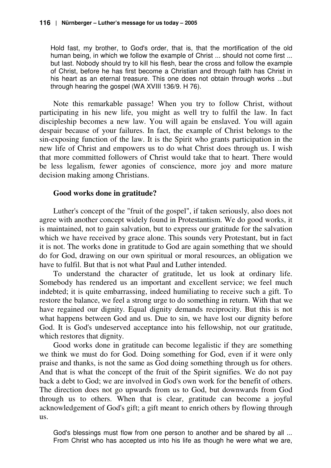Hold fast, my brother, to God's order, that is, that the mortification of the old human being, in which we follow the example of Christ ... should not come first ... but last. Nobody should try to kill his flesh, bear the cross and follow the example of Christ, before he has first become a Christian and through faith has Christ in his heart as an eternal treasure. This one does not obtain through works ...but through hearing the gospel (WA XVIII 136/9. H 76).

Note this remarkable passage! When you try to follow Christ, without participating in his new life, you might as well try to fulfil the law. In fact discipleship becomes a new law. You will again be enslaved. You will again despair because of your failures. In fact, the example of Christ belongs to the sin-exposing function of the law. It is the Spirit who grants participation in the new life of Christ and empowers us to do what Christ does through us. I wish that more committed followers of Christ would take that to heart. There would be less legalism, fewer agonies of conscience, more joy and more mature decision making among Christians.

# **Good works done in gratitude?**

Luther's concept of the "fruit of the gospel", if taken seriously, also does not agree with another concept widely found in Protestantism. We do good works, it is maintained, not to gain salvation, but to express our gratitude for the salvation which we have received by grace alone. This sounds very Protestant, but in fact it is not. The works done in gratitude to God are again something that we should do for God, drawing on our own spiritual or moral resources, an obligation we have to fulfil. But that is not what Paul and Luther intended.

To understand the character of gratitude, let us look at ordinary life. Somebody has rendered us an important and excellent service; we feel much indebted; it is quite embarrassing, indeed humiliating to receive such a gift. To restore the balance, we feel a strong urge to do something in return. With that we have regained our dignity. Equal dignity demands reciprocity. But this is not what happens between God and us. Due to sin, we have lost our dignity before God. It is God's undeserved acceptance into his fellowship, not our gratitude, which restores that dignity.

Good works done in gratitude can become legalistic if they are something we think we must do for God. Doing something for God, even if it were only praise and thanks, is not the same as God doing something through us for others. And that is what the concept of the fruit of the Spirit signifies. We do not pay back a debt to God; we are involved in God's own work for the benefit of others. The direction does not go upwards from us to God, but downwards from God through us to others. When that is clear, gratitude can become a joyful acknowledgement of God's gift; a gift meant to enrich others by flowing through us.

God's blessings must flow from one person to another and be shared by all ... From Christ who has accepted us into his life as though he were what we are,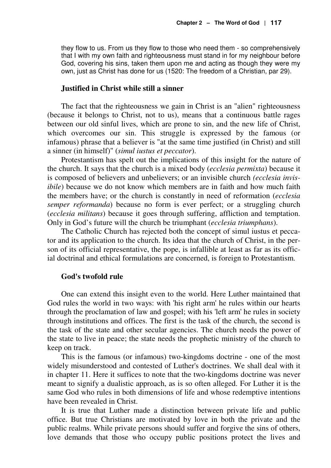they flow to us. From us they flow to those who need them - so comprehensively that I with my own faith and righteousness must stand in for my neighbour before God, covering his sins, taken them upon me and acting as though they were my own, just as Christ has done for us (1520: The freedom of a Christian, par 29).

#### **Justified in Christ while still a sinner**

The fact that the righteousness we gain in Christ is an "alien" righteousness (because it belongs to Christ, not to us), means that a continuous battle rages between our old sinful lives, which are prone to sin, and the new life of Christ, which overcomes our sin. This struggle is expressed by the famous (or infamous) phrase that a believer is "at the same time justified (in Christ) and still a sinner (in himself)" (*simul iustus et peccator*).

Protestantism has spelt out the implications of this insight for the nature of the church. It says that the church is a mixed body (*ecclesia permixta*) because it is composed of believers and unbelievers; or an invisible church *(ecclesia invisibile*) because we do not know which members are in faith and how much faith the members have; or the church is constantly in need of reformation (*ecclesia semper reformanda*) because no form is ever perfect; or a struggling church (*ecclesia militans*) because it goes through suffering, affliction and temptation. Only in God's future will the church be triumphant (*ecclesia triumphans*).

The Catholic Church has rejected both the concept of simul iustus et peccator and its application to the church. Its idea that the church of Christ, in the person of its official representative, the pope, is infallible at least as far as its official doctrinal and ethical formulations are concerned, is foreign to Protestantism.

#### **God's twofold rule**

One can extend this insight even to the world. Here Luther maintained that God rules the world in two ways: with 'his right arm' he rules within our hearts through the proclamation of law and gospel; with his 'left arm' he rules in society through institutions and offices. The first is the task of the church, the second is the task of the state and other secular agencies. The church needs the power of the state to live in peace; the state needs the prophetic ministry of the church to keep on track.

This is the famous (or infamous) two-kingdoms doctrine - one of the most widely misunderstood and contested of Luther's doctrines. We shall deal with it in chapter 11. Here it suffices to note that the two-kingdoms doctrine was never meant to signify a dualistic approach, as is so often alleged. For Luther it is the same God who rules in both dimensions of life and whose redemptive intentions have been revealed in Christ.

It is true that Luther made a distinction between private life and public office. But true Christians are motivated by love in both the private and the public realms. While private persons should suffer and forgive the sins of others, love demands that those who occupy public positions protect the lives and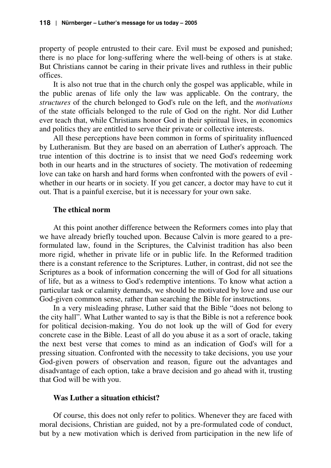property of people entrusted to their care. Evil must be exposed and punished; there is no place for long-suffering where the well-being of others is at stake. But Christians cannot be caring in their private lives and ruthless in their public offices.

It is also not true that in the church only the gospel was applicable, while in the public arenas of life only the law was applicable. On the contrary, the *structures* of the church belonged to God's rule on the left, and the *motivations* of the state officials belonged to the rule of God on the right. Nor did Luther ever teach that, while Christians honor God in their spiritual lives, in economics and politics they are entitled to serve their private or collective interests.

All these perceptions have been common in forms of spirituality influenced by Lutheranism. But they are based on an aberration of Luther's approach. The true intention of this doctrine is to insist that we need God's redeeming work both in our hearts and in the structures of society. The motivation of redeeming love can take on harsh and hard forms when confronted with the powers of evil whether in our hearts or in society. If you get cancer, a doctor may have to cut it out. That is a painful exercise, but it is necessary for your own sake.

#### **The ethical norm**

At this point another difference between the Reformers comes into play that we have already briefly touched upon. Because Calvin is more geared to a preformulated law, found in the Scriptures, the Calvinist tradition has also been more rigid, whether in private life or in public life. In the Reformed tradition there is a constant reference to the Scriptures. Luther, in contrast, did not see the Scriptures as a book of information concerning the will of God for all situations of life, but as a witness to God's redemptive intentions. To know what action a particular task or calamity demands, we should be motivated by love and use our God-given common sense, rather than searching the Bible for instructions.

In a very misleading phrase, Luther said that the Bible "does not belong to the city hall". What Luther wanted to say is that the Bible is not a reference book for political decision-making. You do not look up the will of God for every concrete case in the Bible. Least of all do you abuse it as a sort of oracle, taking the next best verse that comes to mind as an indication of God's will for a pressing situation. Confronted with the necessity to take decisions, you use your God-given powers of observation and reason, figure out the advantages and disadvantage of each option, take a brave decision and go ahead with it, trusting that God will be with you.

#### **Was Luther a situation ethicist?**

Of course, this does not only refer to politics. Whenever they are faced with moral decisions, Christian are guided, not by a pre-formulated code of conduct, but by a new motivation which is derived from participation in the new life of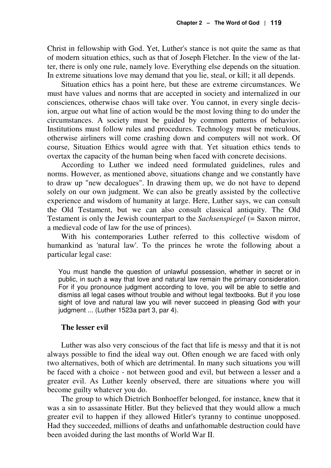Christ in fellowship with God. Yet, Luther's stance is not quite the same as that of modern situation ethics, such as that of Joseph Fletcher. In the view of the latter, there is only one rule, namely love. Everything else depends on the situation. In extreme situations love may demand that you lie, steal, or kill; it all depends.

Situation ethics has a point here, but these are extreme circumstances. We must have values and norms that are accepted in society and internalized in our consciences, otherwise chaos will take over. You cannot, in every single decision, argue out what line of action would be the most loving thing to do under the circumstances. A society must be guided by common patterns of behavior. Institutions must follow rules and procedures. Technology must be meticulous, otherwise airliners will come crashing down and computers will not work. Of course, Situation Ethics would agree with that. Yet situation ethics tends to overtax the capacity of the human being when faced with concrete decisions.

According to Luther we indeed need formulated guidelines, rules and norms. However, as mentioned above, situations change and we constantly have to draw up "new decalogues". In drawing them up, we do not have to depend solely on our own judgment. We can also be greatly assisted by the collective experience and wisdom of humanity at large. Here, Luther says, we can consult the Old Testament, but we can also consult classical antiquity. The Old Testament is only the Jewish counterpart to the *Sachsenspiegel* (= Saxon mirror, a medieval code of law for the use of princes).

With his contemporaries Luther referred to this collective wisdom of humankind as 'natural law'. To the princes he wrote the following about a particular legal case:

You must handle the question of unlawful possession, whether in secret or in public, in such a way that love and natural law remain the primary consideration. For if you pronounce judgment according to love, you will be able to settle and dismiss all legal cases without trouble and without legal textbooks. But if you lose sight of love and natural law you will never succeed in pleasing God with your judgment ... (Luther 1523a part 3, par 4).

#### **The lesser evil**

Luther was also very conscious of the fact that life is messy and that it is not always possible to find the ideal way out. Often enough we are faced with only two alternatives, both of which are detrimental. In many such situations you will be faced with a choice - not between good and evil, but between a lesser and a greater evil. As Luther keenly observed, there are situations where you will become guilty whatever you do.

The group to which Dietrich Bonhoeffer belonged, for instance, knew that it was a sin to assassinate Hitler. But they believed that they would allow a much greater evil to happen if they allowed Hitler's tyranny to continue unopposed. Had they succeeded, millions of deaths and unfathomable destruction could have been avoided during the last months of World War II.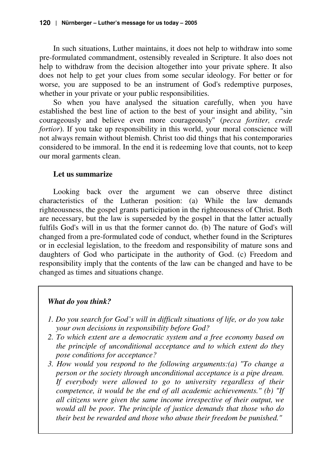In such situations, Luther maintains, it does not help to withdraw into some pre-formulated commandment, ostensibly revealed in Scripture. It also does not help to withdraw from the decision altogether into your private sphere. It also does not help to get your clues from some secular ideology. For better or for worse, you are supposed to be an instrument of God's redemptive purposes, whether in your private or your public responsibilities.

So when you have analysed the situation carefully, when you have established the best line of action to the best of your insight and ability, "sin courageously and believe even more courageously" (*pecca fortiter, crede fortior*). If you take up responsibility in this world, your moral conscience will not always remain without blemish. Christ too did things that his contemporaries considered to be immoral. In the end it is redeeming love that counts, not to keep our moral garments clean.

# **Let us summarize**

Looking back over the argument we can observe three distinct characteristics of the Lutheran position: (a) While the law demands righteousness, the gospel grants participation in the righteousness of Christ. Both are necessary, but the law is superseded by the gospel in that the latter actually fulfils God's will in us that the former cannot do. (b) The nature of God's will changed from a pre-formulated code of conduct, whether found in the Scriptures or in ecclesial legislation, to the freedom and responsibility of mature sons and daughters of God who participate in the authority of God. (c) Freedom and responsibility imply that the contents of the law can be changed and have to be changed as times and situations change.

# *What do you think?*

- *1. Do you search for God's will in difficult situations of life, or do you take your own decisions in responsibility before God?*
- *2. To which extent are a democratic system and a free economy based on the principle of unconditional acceptance and to which extent do they pose conditions for acceptance?*
- *3. How would you respond to the following arguments:(a) "To change a person or the society through unconditional acceptance is a pipe dream. If everybody were allowed to go to university regardless of their competence, it would be the end of all academic achievements." (b) "If all citizens were given the same income irrespective of their output, we would all be poor. The principle of justice demands that those who do their best be rewarded and those who abuse their freedom be punished."*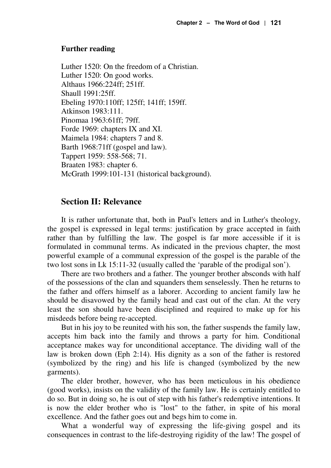#### **Further reading**

Luther 1520: On the freedom of a Christian. Luther 1520: On good works. Althaus 1966:224ff; 251ff. Shaull 1991:25ff. Ebeling 1970:110ff; 125ff; 141ff; 159ff. Atkinson 1983:111. Pinomaa 1963:61ff; 79ff. Forde 1969: chapters IX and XI. Maimela 1984: chapters 7 and 8. Barth 1968:71ff (gospel and law). Tappert 1959: 558-568; 71. Braaten 1983: chapter 6. McGrath 1999:101-131 (historical background).

#### **Section II: Relevance**

It is rather unfortunate that, both in Paul's letters and in Luther's theology, the gospel is expressed in legal terms: justification by grace accepted in faith rather than by fulfilling the law. The gospel is far more accessible if it is formulated in communal terms. As indicated in the previous chapter, the most powerful example of a communal expression of the gospel is the parable of the two lost sons in Lk 15:11-32 (usually called the 'parable of the prodigal son').

There are two brothers and a father. The younger brother absconds with half of the possessions of the clan and squanders them senselessly. Then he returns to the father and offers himself as a laborer. According to ancient family law he should be disavowed by the family head and cast out of the clan. At the very least the son should have been disciplined and required to make up for his misdeeds before being re-accepted.

But in his joy to be reunited with his son, the father suspends the family law, accepts him back into the family and throws a party for him. Conditional acceptance makes way for unconditional acceptance. The dividing wall of the law is broken down (Eph 2:14). His dignity as a son of the father is restored (symbolized by the ring) and his life is changed (symbolized by the new garments).

The elder brother, however, who has been meticulous in his obedience (good works), insists on the validity of the family law. He is certainly entitled to do so. But in doing so, he is out of step with his father's redemptive intentions. It is now the elder brother who is "lost" to the father, in spite of his moral excellence. And the father goes out and begs him to come in.

What a wonderful way of expressing the life-giving gospel and its consequences in contrast to the life-destroying rigidity of the law! The gospel of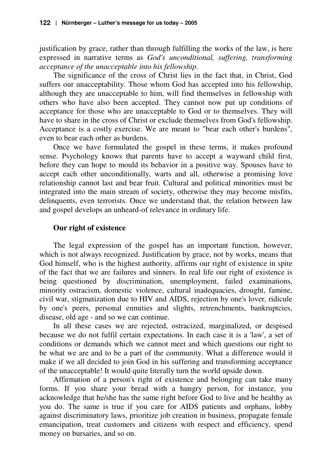justification by grace, rather than through fulfilling the works of the law, is here expressed in narrative terms as *God's unconditional, suffering, transforming acceptance of the unacceptable into his fellowship*.

The significance of the cross of Christ lies in the fact that, in Christ, God suffers our unacceptability. Those whom God has accepted into his fellowship, although they are unacceptable to him, will find themselves in fellowship with others who have also been accepted. They cannot now put up conditions of acceptance for those who are unacceptable to God or to themselves. They will have to share in the cross of Christ or exclude themselves from God's fellowship. Acceptance is a costly exercise. We are meant to "bear each other's burdens", even to bear each other as burdens.

Once we have formulated the gospel in these terms, it makes profound sense. Psychology knows that parents have to accept a wayward child first, before they can hope to mould its behavior in a positive way. Spouses have to accept each other unconditionally, warts and all, otherwise a promising love relationship cannot last and bear fruit. Cultural and political minorities must be integrated into the main stream of society, otherwise they may become misfits, delinquents, even terrorists. Once we understand that, the relation between law and gospel develops an unheard-of relevance in ordinary life.

#### **Our right of existence**

The legal expression of the gospel has an important function, however, which is not always recognized. Justification by grace, not by works, means that God himself, who is the highest authority, affirms our right of existence in spite of the fact that we are failures and sinners. In real life our right of existence is being questioned by discrimination, unemployment, failed examinations, minority ostracism, domestic violence, cultural inadequacies, drought, famine, civil war, stigmatization due to HIV and AIDS, rejection by one's lover, ridicule by one's peers, personal enmities and slights, retrenchments, bankruptcies, disease, old age - and so we can continue.

In all these cases we are rejected, ostracized, marginalized, or despised because we do not fulfil certain expectations. In each case it is a 'law', a set of conditions or demands which we cannot meet and which questions our right to be what we are and to be a part of the community. What a difference would it make if we all decided to join God in his suffering and transforming acceptance of the unacceptable! It would quite literally turn the world upside down.

Affirmation of a person's right of existence and belonging can take many forms. If you share your bread with a hungry person, for instance, you acknowledge that he/she has the same right before God to live and be healthy as you do. The same is true if you care for AIDS patients and orphans, lobby against discriminatory laws, prioritize job creation in business, propagate female emancipation, treat customers and citizens with respect and efficiency, spend money on bursaries, and so on.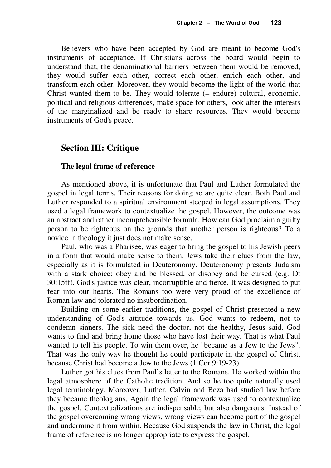Believers who have been accepted by God are meant to become God's instruments of acceptance. If Christians across the board would begin to understand that, the denominational barriers between them would be removed, they would suffer each other, correct each other, enrich each other, and transform each other. Moreover, they would become the light of the world that Christ wanted them to be. They would tolerate (= endure) cultural, economic, political and religious differences, make space for others, look after the interests of the marginalized and be ready to share resources. They would become instruments of God's peace.

#### **Section III: Critique**

#### **The legal frame of reference**

As mentioned above, it is unfortunate that Paul and Luther formulated the gospel in legal terms. Their reasons for doing so are quite clear. Both Paul and Luther responded to a spiritual environment steeped in legal assumptions. They used a legal framework to contextualize the gospel. However, the outcome was an abstract and rather incomprehensible formula. How can God proclaim a guilty person to be righteous on the grounds that another person is righteous? To a novice in theology it just does not make sense.

Paul, who was a Pharisee, was eager to bring the gospel to his Jewish peers in a form that would make sense to them. Jews take their clues from the law, especially as it is formulated in Deuteronomy. Deuteronomy presents Judaism with a stark choice: obey and be blessed, or disobey and be cursed (e.g. Dt 30:15ff). God's justice was clear, incorruptible and fierce. It was designed to put fear into our hearts. The Romans too were very proud of the excellence of Roman law and tolerated no insubordination.

Building on some earlier traditions, the gospel of Christ presented a new understanding of God's attitude towards us. God wants to redeem, not to condemn sinners. The sick need the doctor, not the healthy, Jesus said. God wants to find and bring home those who have lost their way. That is what Paul wanted to tell his people. To win them over, he "became as a Jew to the Jews". That was the only way he thought he could participate in the gospel of Christ, because Christ had become a Jew to the Jews (1 Cor 9:19-23).

Luther got his clues from Paul's letter to the Romans. He worked within the legal atmosphere of the Catholic tradition. And so he too quite naturally used legal terminology. Moreover, Luther, Calvin and Beza had studied law before they became theologians. Again the legal framework was used to contextualize the gospel. Contextualizations are indispensable, but also dangerous. Instead of the gospel overcoming wrong views, wrong views can become part of the gospel and undermine it from within. Because God suspends the law in Christ, the legal frame of reference is no longer appropriate to express the gospel.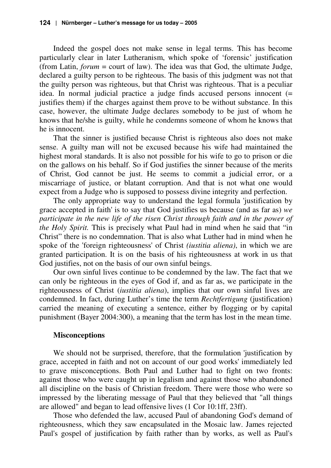Indeed the gospel does not make sense in legal terms. This has become particularly clear in later Lutheranism, which spoke of 'forensic' justification (from Latin, *forum* = court of law). The idea was that God, the ultimate Judge, declared a guilty person to be righteous. The basis of this judgment was not that the guilty person was righteous, but that Christ was righteous. That is a peculiar idea. In normal judicial practice a judge finds accused persons innocent (= justifies them) if the charges against them prove to be without substance. In this case, however, the ultimate Judge declares somebody to be just of whom he knows that he/she is guilty, while he condemns someone of whom he knows that he is innocent.

That the sinner is justified because Christ is righteous also does not make sense. A guilty man will not be excused because his wife had maintained the highest moral standards. It is also not possible for his wife to go to prison or die on the gallows on his behalf. So if God justifies the sinner because of the merits of Christ, God cannot be just. He seems to commit a judicial error, or a miscarriage of justice, or blatant corruption. And that is not what one would expect from a Judge who is supposed to possess divine integrity and perfection.

The only appropriate way to understand the legal formula 'justification by grace accepted in faith' is to say that God justifies us because (and as far as) *we participate in the new life of the risen Christ through faith and in the power of the Holy Spirit.* This is precisely what Paul had in mind when he said that "in Christ" there is no condemnation. That is also what Luther had in mind when he spoke of the 'foreign righteousness' of Christ *(iustitia aliena)*, in which we are granted participation. It is on the basis of his righteousness at work in us that God justifies, not on the basis of our own sinful beings.

Our own sinful lives continue to be condemned by the law. The fact that we can only be righteous in the eyes of God if, and as far as, we participate in the righteousness of Christ (*iustitia aliena*), implies that our own sinful lives are condemned. In fact, during Luther's time the term *Rechtfertigung* (justification) carried the meaning of executing a sentence, either by flogging or by capital punishment (Bayer 2004:300), a meaning that the term has lost in the mean time.

#### **Misconceptions**

We should not be surprised, therefore, that the formulation 'justification by grace, accepted in faith and not on account of our good works' immediately led to grave misconceptions. Both Paul and Luther had to fight on two fronts: against those who were caught up in legalism and against those who abandoned all discipline on the basis of Christian freedom. There were those who were so impressed by the liberating message of Paul that they believed that "all things are allowed" and began to lead offensive lives (1 Cor 10:1ff, 23ff).

Those who defended the law, accused Paul of abandoning God's demand of righteousness, which they saw encapsulated in the Mosaic law. James rejected Paul's gospel of justification by faith rather than by works, as well as Paul's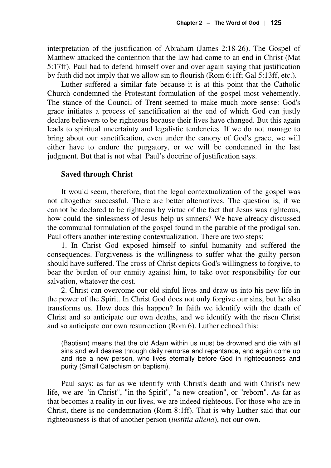interpretation of the justification of Abraham (James 2:18-26). The Gospel of Matthew attacked the contention that the law had come to an end in Christ (Mat 5:17ff). Paul had to defend himself over and over again saying that justification by faith did not imply that we allow sin to flourish (Rom 6:1ff; Gal 5:13ff, etc.).

Luther suffered a similar fate because it is at this point that the Catholic Church condemned the Protestant formulation of the gospel most vehemently. The stance of the Council of Trent seemed to make much more sense: God's grace initiates a process of sanctification at the end of which God can justly declare believers to be righteous because their lives have changed. But this again leads to spiritual uncertainty and legalistic tendencies. If we do not manage to bring about our sanctification, even under the canopy of God's grace, we will either have to endure the purgatory, or we will be condemned in the last judgment. But that is not what Paul's doctrine of justification says.

#### **Saved through Christ**

It would seem, therefore, that the legal contextualization of the gospel was not altogether successful. There are better alternatives. The question is, if we cannot be declared to be righteous by virtue of the fact that Jesus was righteous, how could the sinlessness of Jesus help us sinners? We have already discussed the communal formulation of the gospel found in the parable of the prodigal son. Paul offers another interesting contextualization. There are two steps:

1. In Christ God exposed himself to sinful humanity and suffered the consequences. Forgiveness is the willingness to suffer what the guilty person should have suffered. The cross of Christ depicts God's willingness to forgive, to bear the burden of our enmity against him, to take over responsibility for our salvation, whatever the cost.

2. Christ can overcome our old sinful lives and draw us into his new life in the power of the Spirit. In Christ God does not only forgive our sins, but he also transforms us. How does this happen? In faith we identify with the death of Christ and so anticipate our own deaths, and we identify with the risen Christ and so anticipate our own resurrection (Rom 6). Luther echoed this:

(Baptism) means that the old Adam within us must be drowned and die with all sins and evil desires through daily remorse and repentance, and again come up and rise a new person, who lives eternally before God in righteousness and purity (Small Catechism on baptism).

Paul says: as far as we identify with Christ's death and with Christ's new life, we are "in Christ", "in the Spirit", "a new creation", or "reborn". As far as that becomes a reality in our lives, we are indeed righteous. For those who are in Christ, there is no condemnation (Rom 8:1ff). That is why Luther said that our righteousness is that of another person (*iustitia aliena*), not our own.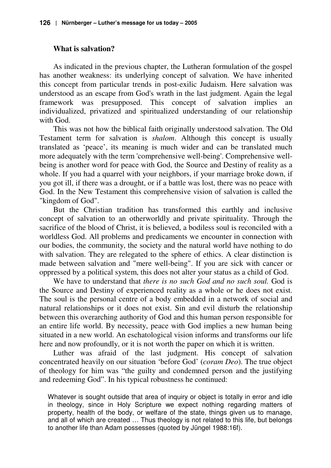#### **What is salvation?**

As indicated in the previous chapter, the Lutheran formulation of the gospel has another weakness: its underlying concept of salvation. We have inherited this concept from particular trends in post-exilic Judaism. Here salvation was understood as an escape from God's wrath in the last judgment. Again the legal framework was presupposed. This concept of salvation implies an individualized, privatized and spiritualized understanding of our relationship with God.

This was not how the biblical faith originally understood salvation. The Old Testament term for salvation is *shalom*. Although this concept is usually translated as 'peace', its meaning is much wider and can be translated much more adequately with the term 'comprehensive well-being'. Comprehensive wellbeing is another word for peace with God, the Source and Destiny of reality as a whole. If you had a quarrel with your neighbors, if your marriage broke down, if you got ill, if there was a drought, or if a battle was lost, there was no peace with God. In the New Testament this comprehensive vision of salvation is called the "kingdom of God".

But the Christian tradition has transformed this earthly and inclusive concept of salvation to an otherworldly and private spirituality. Through the sacrifice of the blood of Christ, it is believed, a bodiless soul is reconciled with a worldless God. All problems and predicaments we encounter in connection with our bodies, the community, the society and the natural world have nothing to do with salvation. They are relegated to the sphere of ethics. A clear distinction is made between salvation and "mere well-being". If you are sick with cancer or oppressed by a political system, this does not alter your status as a child of God.

We have to understand that *there is no such God and no such soul.* God is the Source and Destiny of experienced reality as a whole or he does not exist. The soul is the personal centre of a body embedded in a network of social and natural relationships or it does not exist. Sin and evil disturb the relationship between this overarching authority of God and this human person responsible for an entire life world. By necessity, peace with God implies a new human being situated in a new world. An eschatological vision informs and transforms our life here and now profoundly, or it is not worth the paper on which it is written.

Luther was afraid of the last judgment. His concept of salvation concentrated heavily on our situation 'before God' (*coram Deo*). The true object of theology for him was "the guilty and condemned person and the justifying and redeeming God". In his typical robustness he continued:

Whatever is sought outside that area of inquiry or object is totally in error and idle in theology, since in Holy Scripture we expect nothing regarding matters of property, health of the body, or welfare of the state, things given us to manage, and all of which are created … Thus theology is not related to this life, but belongs to another life than Adam possesses (quoted by Jüngel 1988:16f).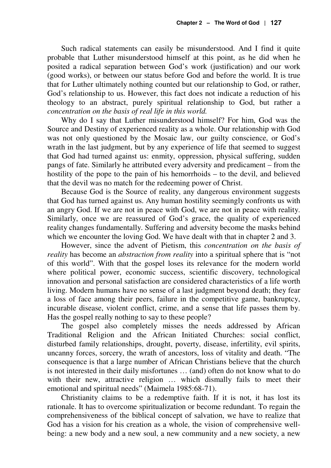Such radical statements can easily be misunderstood. And I find it quite probable that Luther misunderstood himself at this point, as he did when he posited a radical separation between God's work (justification) and our work (good works), or between our status before God and before the world. It is true that for Luther ultimately nothing counted but our relationship to God, or rather, God's relationship to us. However, this fact does not indicate a reduction of his theology to an abstract, purely spiritual relationship to God, but rather a *concentration on the basis of real life in this world.*

Why do I say that Luther misunderstood himself? For him, God was the Source and Destiny of experienced reality as a whole. Our relationship with God was not only questioned by the Mosaic law, our guilty conscience, or God's wrath in the last judgment, but by any experience of life that seemed to suggest that God had turned against us: enmity, oppression, physical suffering, sudden pangs of fate. Similarly he attributed every adversity and predicament – from the hostility of the pope to the pain of his hemorrhoids – to the devil, and believed that the devil was no match for the redeeming power of Christ.

Because God is the Source of reality, any dangerous environment suggests that God has turned against us. Any human hostility seemingly confronts us with an angry God. If we are not in peace with God, we are not in peace with reality. Similarly, once we are reassured of God's grace, the quality of experienced reality changes fundamentally. Suffering and adversity become the masks behind which we encounter the loving God. We have dealt with that in chapter 2 and 3.

However, since the advent of Pietism, this *concentration on the basis of reality* has become an *abstraction from reality* into a spiritual sphere that is "not of this world". With that the gospel loses its relevance for the modern world where political power, economic success, scientific discovery, technological innovation and personal satisfaction are considered characteristics of a life worth living. Modern humans have no sense of a last judgment beyond death; they fear a loss of face among their peers, failure in the competitive game, bankruptcy, incurable disease, violent conflict, crime, and a sense that life passes them by. Has the gospel really nothing to say to these people?

The gospel also completely misses the needs addressed by African Traditional Religion and the African Initiated Churches: social conflict, disturbed family relationships, drought, poverty, disease, infertility, evil spirits, uncanny forces, sorcery, the wrath of ancestors, loss of vitality and death. "The consequence is that a large number of African Christians believe that the church is not interested in their daily misfortunes … (and) often do not know what to do with their new, attractive religion ... which dismally fails to meet their emotional and spiritual needs" (Maimela 1985:68-71).

Christianity claims to be a redemptive faith. If it is not, it has lost its rationale. It has to overcome spiritualization or become redundant. To regain the comprehensiveness of the biblical concept of salvation, we have to realize that God has a vision for his creation as a whole, the vision of comprehensive wellbeing: a new body and a new soul, a new community and a new society, a new